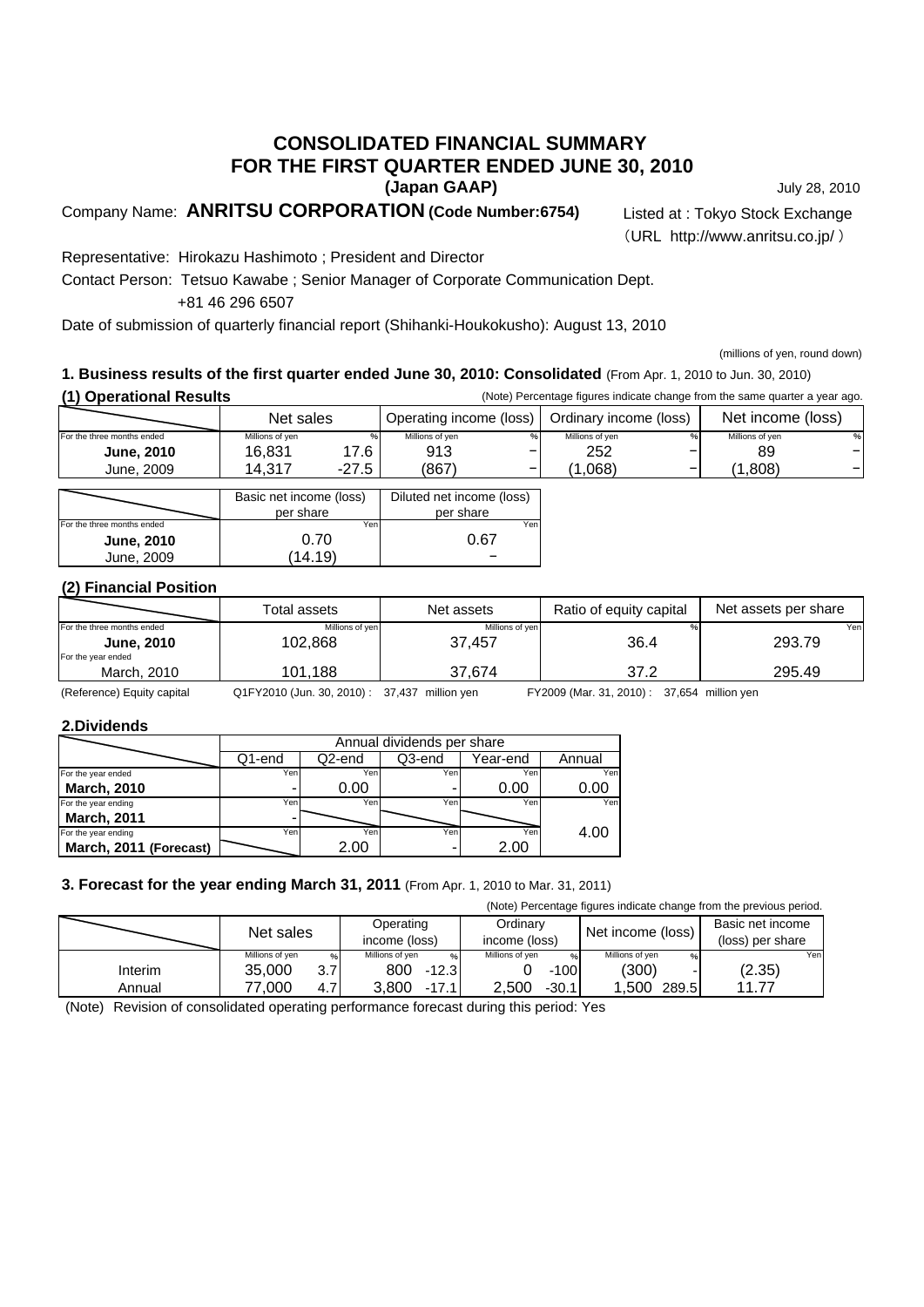## **(Japan GAAP) CONSOLIDATED FINANCIAL SUMMARY FOR THE FIRST QUARTER ENDED JUNE 30, 2010**

Company Name: **ANRITSU CORPORATION (Code Number:6754)** Listed at : Tokyo Stock Exchange

July 28, 2010

(URL http://www.anritsu.co.jp/ )

Representative: Hirokazu Hashimoto ; President and Director

Contact Person: Tetsuo Kawabe ; Senior Manager of Corporate Communication Dept.

+81 46 296 6507

Date of submission of quarterly financial report (Shihanki-Houkokusho): August 13, 2010

(millions of yen, round down)

## **1. Business results of the first quarter ended June 30, 2010: Consolidated** (From Apr. 1, 2010 to Jun. 30, 2010)

| (1) Operational Results |
|-------------------------|
|                         |

| (1) Operational Results    |                         |         |                           |  |                        | (Note) Percentage figures indicate change from the same quarter a year ago. |                   |   |
|----------------------------|-------------------------|---------|---------------------------|--|------------------------|-----------------------------------------------------------------------------|-------------------|---|
| Net sales                  |                         |         | Operating income (loss)   |  | Ordinary income (loss) |                                                                             | Net income (loss) |   |
| For the three months ended | Millions of yen         |         | Millions of yen           |  | Millions of yen        |                                                                             | Millions of yen   | % |
| <b>June, 2010</b>          | 16.831                  | 17.6    | 913                       |  | 252                    |                                                                             | 89                |   |
| June, 2009                 | 14.317                  | $-27.5$ | (867)                     |  | .068)                  |                                                                             | (1.808)           |   |
|                            |                         |         |                           |  |                        |                                                                             |                   |   |
|                            | Basic net income (loss) |         | Diluted net income (loss) |  |                        |                                                                             |                   |   |

|                            | Basic net income (loss) | Diluted net income (loss) |
|----------------------------|-------------------------|---------------------------|
|                            | per share               | per share                 |
| For the three months ended | Yen                     | Yer                       |
| <b>June, 2010</b>          | 0.70                    | 0.67                      |
| June, 2009                 | (14.19)                 |                           |

## **(2) Financial Position**

|                                         | Total assets    | Net assets      | Ratio of equity capital | Net assets per share |
|-----------------------------------------|-----------------|-----------------|-------------------------|----------------------|
| For the three months ended              | Millions of ven | Millions of ven |                         | Yenl                 |
| <b>June, 2010</b><br>For the year ended | 102.868         | 37.457          | 36.4                    | 293.79               |
| March, 2010                             | 101.188         | 37.674          | 37.2                    | 295.49               |

(Reference) Equity capital Q1FY2010 (Jun. 30, 2010) : 37,437 million yen FY2009 (Mar. 31, 2010) : 37,654 million yen

#### **2.Dividends**

|                        |        | Annual dividends per share |        |          |        |  |  |  |
|------------------------|--------|----------------------------|--------|----------|--------|--|--|--|
|                        | Q1-end | Q2-end                     | Q3-end | Year-end | Annual |  |  |  |
| For the year ended     | Yeni   | Yeni                       | Yen    | Yen      | Yen    |  |  |  |
| <b>March, 2010</b>     |        | 0.00                       | -      | 0.00     | 0.00   |  |  |  |
| For the year ending    | Yen    | Yen                        | Yen    | Yen      | Yen    |  |  |  |
| <b>March, 2011</b>     |        |                            |        |          |        |  |  |  |
| For the year ending    | Yenl   | Yen                        | Yen    | Yen      | 4.00   |  |  |  |
| March, 2011 (Forecast) |        | 2.00                       | ۰      | 2.00     |        |  |  |  |

## **3. Forecast for the year ending March 31, 2011** (From Apr. 1, 2010 to Mar. 31, 2011)

(Note) Percentage figures indicate change from the previous period.

|         | Net sales               | Operating<br>income (loss) | Ordinary<br>income (loss) | Net income (loss)    | Basic net income<br>(loss) per share  |
|---------|-------------------------|----------------------------|---------------------------|----------------------|---------------------------------------|
|         | Millions of ven<br>$\%$ | Millions of ven<br>$\%$    | Millions of ven<br>$\%$   | Millions of ven<br>% | Yen                                   |
| Interim | 35,000<br>3.7I          | 800<br>$-12.3$             | $-100$                    | (300)                | (2.35)                                |
| Annual  | 77.000<br>4.7           | 3.800<br>$-17.1'$          | 2.500<br>$-30.1$          | .500<br>289.5        | 1177<br>$\mathbf{1} \cdot \mathbf{I}$ |

(Note) Revision of consolidated operating performance forecast during this period: Yes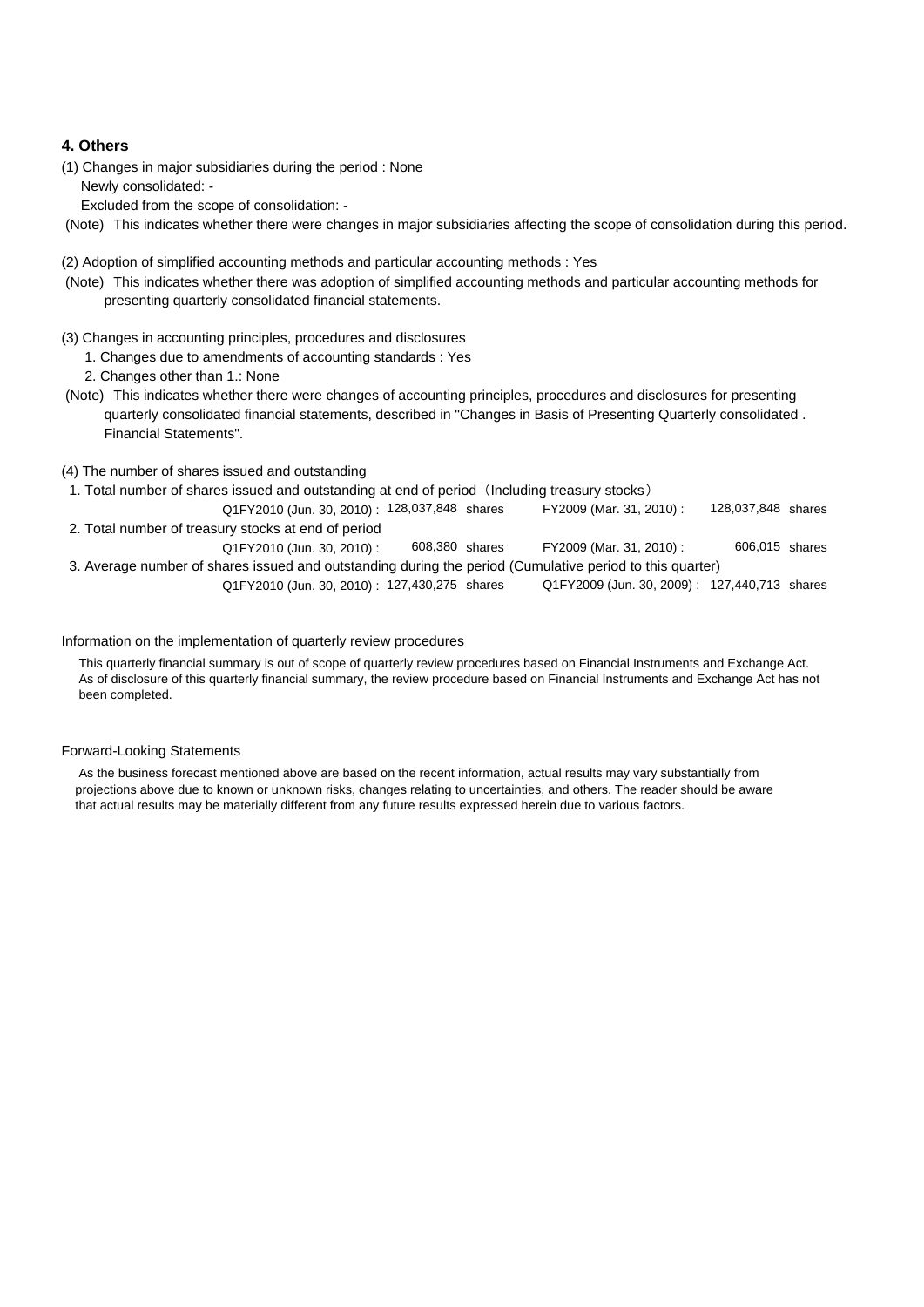## **4. Others**

(1) Changes in major subsidiaries during the period : None Newly consolidated: -

Excluded from the scope of consolidation: -

(Note) This indicates whether there were changes in major subsidiaries affecting the scope of consolidation during this period.

#### (2) Adoption of simplified accounting methods and particular accounting methods : Yes

- (Note) This indicates whether there was adoption of simplified accounting methods and particular accounting methods for presenting quarterly consolidated financial statements.
- (3) Changes in accounting principles, procedures and disclosures
	- 1. Changes due to amendments of accounting standards : Yes
	- 2. Changes other than 1.: None
- (Note) This indicates whether there were changes of accounting principles, procedures and disclosures for presenting quarterly consolidated financial statements, described in "Changes in Basis of Presenting Quarterly consolidated . Financial Statements".

#### (4) The number of shares issued and outstanding

- 1. Total number of shares issued and outstanding at end of period (Including treasury stocks)
- Q1FY2010 (Jun. 30, 2010) : 128,037,848 shares FY2009 (Mar. 31, 2010) : 128,037,848 shares 2. Total number of treasury stocks at end of period FY2009 (Mar. 31, 2010):

Q1FY2010 (Jun. 30, 2010) : 608,380 shares FY2009 (Mar. 31, 2010) : 3. Average number of shares issued and outstanding during the period (Cumulative period to this quarter) Q1FY2010 (Jun. 30, 2010) : 127,430,275 shares Q1FY2009 (Jun. 30, 2009) : 127,440,713 shares Q1FY2009 (Jun. 30, 2009): 127,440,713 shares 606,015 608,380

#### Information on the implementation of quarterly review procedures

 This quarterly financial summary is out of scope of quarterly review procedures based on Financial Instruments and Exchange Act. As of disclosure of this quarterly financial summary, the review procedure based on Financial Instruments and Exchange Act has not been completed.

#### Forward-Looking Statements

 As the business forecast mentioned above are based on the recent information, actual results may vary substantially from projections above due to known or unknown risks, changes relating to uncertainties, and others. The reader should be aware that actual results may be materially different from any future results expressed herein due to various factors.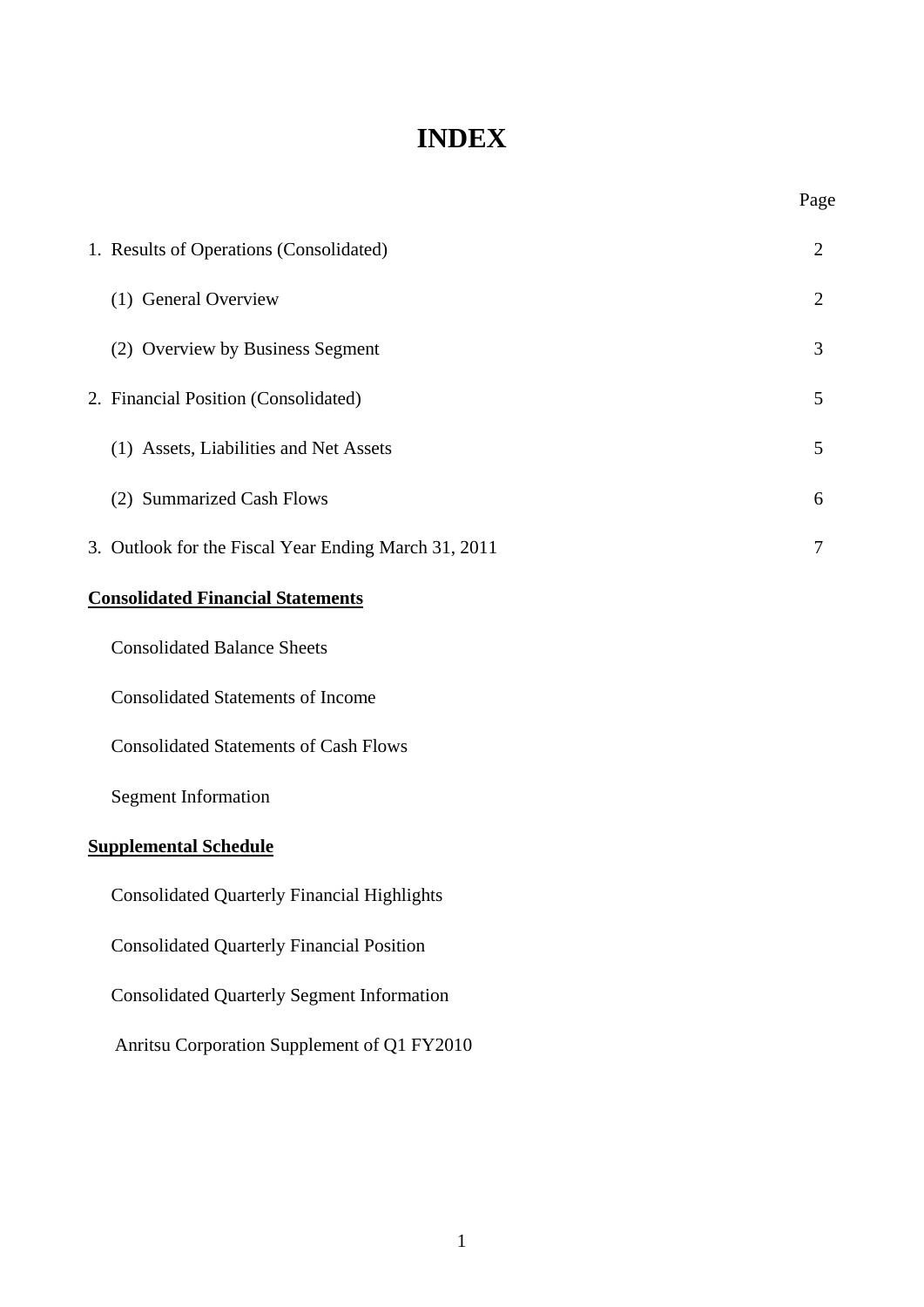# **INDEX**

Page

| 1. Results of Operations (Consolidated)              | $\overline{2}$ |
|------------------------------------------------------|----------------|
| (1) General Overview                                 | $\overline{2}$ |
| (2) Overview by Business Segment                     | 3              |
| 2. Financial Position (Consolidated)                 | 5              |
| (1) Assets, Liabilities and Net Assets               | 5              |
| (2) Summarized Cash Flows                            | 6              |
| 3. Outlook for the Fiscal Year Ending March 31, 2011 | 7              |
| <b>Consolidated Financial Statements</b>             |                |
| <b>Consolidated Balance Sheets</b>                   |                |
| <b>Consolidated Statements of Income</b>             |                |
| <b>Consolidated Statements of Cash Flows</b>         |                |
| <b>Segment Information</b>                           |                |

# **Supplemental Schedule**

Consolidated Quarterly Financial Highlights

Consolidated Quarterly Financial Position

Consolidated Quarterly Segment Information

Anritsu Corporation Supplement of Q1 FY2010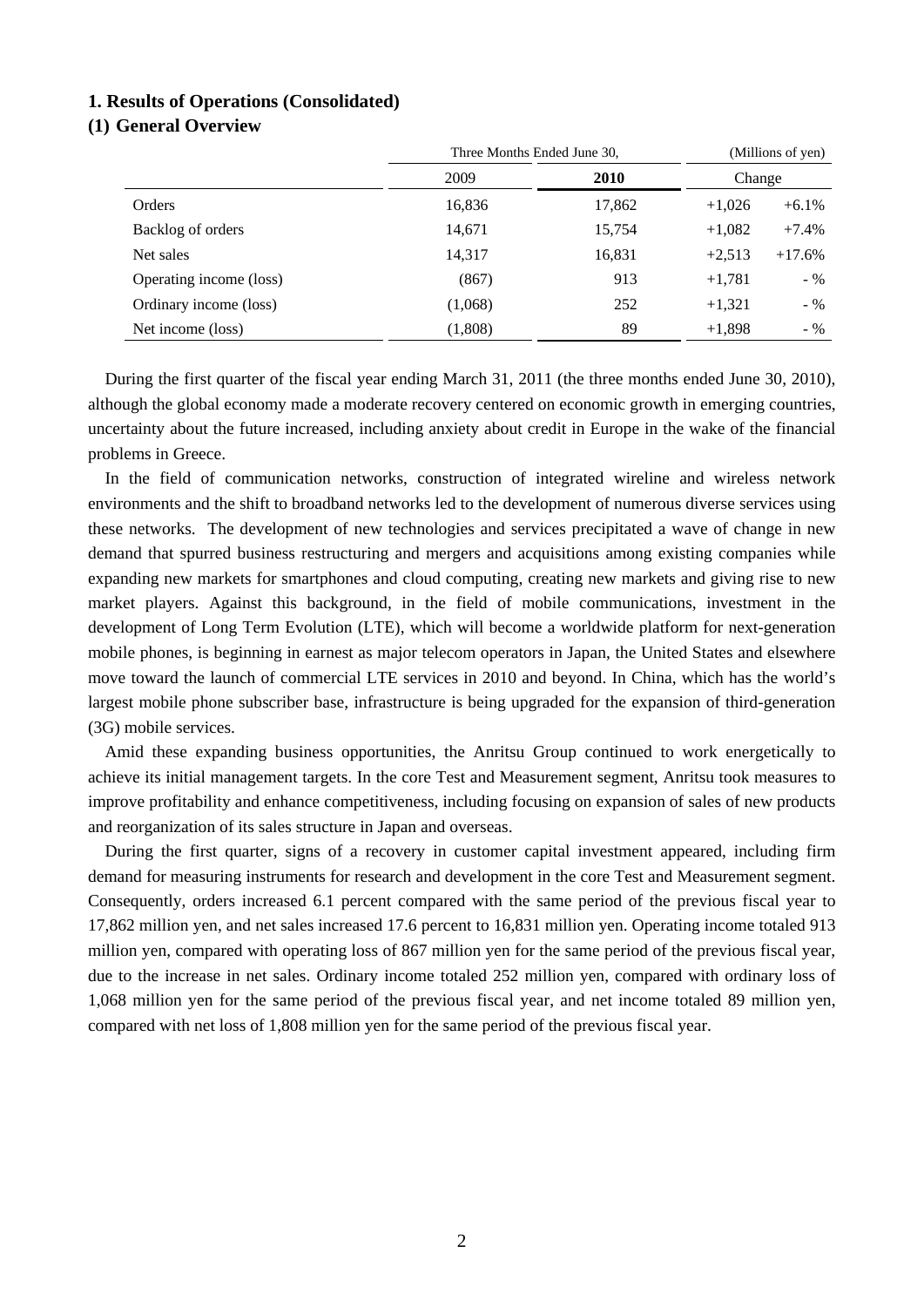### **1. Results of Operations (Consolidated)**

## **(1) General Overview**

|                         | Three Months Ended June 30, |        |          | (Millions of yen) |  |
|-------------------------|-----------------------------|--------|----------|-------------------|--|
|                         | 2009<br><b>2010</b>         |        | Change   |                   |  |
| Orders                  | 16,836                      | 17,862 | $+1,026$ | $+6.1\%$          |  |
| Backlog of orders       | 14,671                      | 15,754 | $+1,082$ | $+7.4%$           |  |
| Net sales               | 14,317                      | 16,831 | $+2,513$ | $+17.6%$          |  |
| Operating income (loss) | (867)                       | 913    | $+1,781$ | $-$ %             |  |
| Ordinary income (loss)  | (1,068)                     | 252    | $+1,321$ | $-$ %             |  |
| Net income (loss)       | (1,808)                     | 89     | $+1,898$ | $-$ %             |  |

During the first quarter of the fiscal year ending March 31, 2011 (the three months ended June 30, 2010), although the global economy made a moderate recovery centered on economic growth in emerging countries, uncertainty about the future increased, including anxiety about credit in Europe in the wake of the financial problems in Greece.

In the field of communication networks, construction of integrated wireline and wireless network environments and the shift to broadband networks led to the development of numerous diverse services using these networks. The development of new technologies and services precipitated a wave of change in new demand that spurred business restructuring and mergers and acquisitions among existing companies while expanding new markets for smartphones and cloud computing, creating new markets and giving rise to new market players. Against this background, in the field of mobile communications, investment in the development of Long Term Evolution (LTE), which will become a worldwide platform for next-generation mobile phones, is beginning in earnest as major telecom operators in Japan, the United States and elsewhere move toward the launch of commercial LTE services in 2010 and beyond. In China, which has the world's largest mobile phone subscriber base, infrastructure is being upgraded for the expansion of third-generation (3G) mobile services.

Amid these expanding business opportunities, the Anritsu Group continued to work energetically to achieve its initial management targets. In the core Test and Measurement segment, Anritsu took measures to improve profitability and enhance competitiveness, including focusing on expansion of sales of new products and reorganization of its sales structure in Japan and overseas.

During the first quarter, signs of a recovery in customer capital investment appeared, including firm demand for measuring instruments for research and development in the core Test and Measurement segment. Consequently, orders increased 6.1 percent compared with the same period of the previous fiscal year to 17,862 million yen, and net sales increased 17.6 percent to 16,831 million yen. Operating income totaled 913 million yen, compared with operating loss of 867 million yen for the same period of the previous fiscal year, due to the increase in net sales. Ordinary income totaled 252 million yen, compared with ordinary loss of 1,068 million yen for the same period of the previous fiscal year, and net income totaled 89 million yen, compared with net loss of 1,808 million yen for the same period of the previous fiscal year.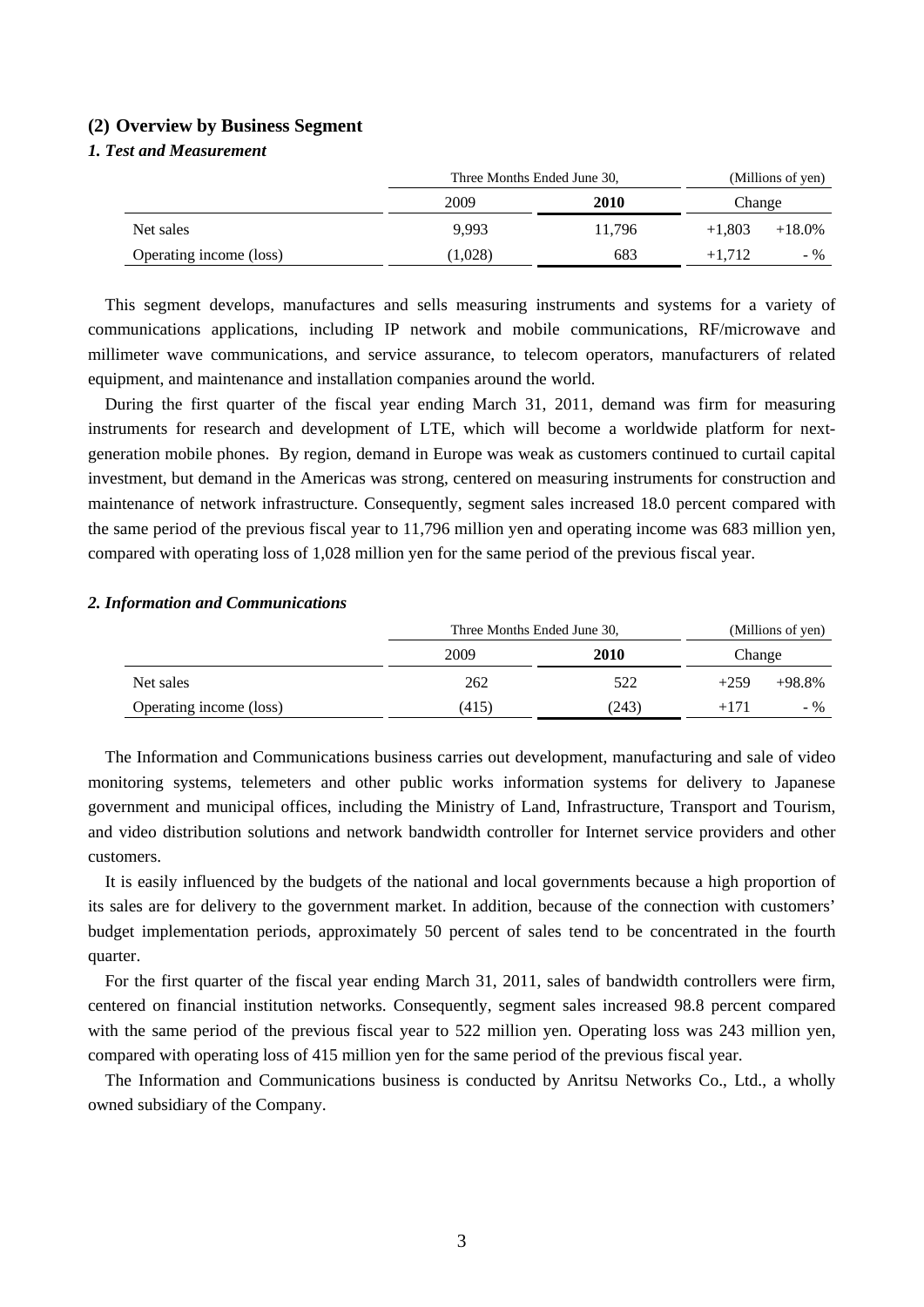### **(2) Overview by Business Segment**

## *1. Test and Measurement*

|                         | Three Months Ended June 30, |        | (Millions of yen) |           |
|-------------------------|-----------------------------|--------|-------------------|-----------|
|                         | 2009                        | 2010   | Change            |           |
| Net sales               | 9.993                       | 11.796 | $+1.803$          | $+18.0\%$ |
| Operating income (loss) | (1,028)                     | 683    | $+1.712$          | - %       |

This segment develops, manufactures and sells measuring instruments and systems for a variety of communications applications, including IP network and mobile communications, RF/microwave and millimeter wave communications, and service assurance, to telecom operators, manufacturers of related equipment, and maintenance and installation companies around the world.

During the first quarter of the fiscal year ending March 31, 2011, demand was firm for measuring instruments for research and development of LTE, which will become a worldwide platform for nextgeneration mobile phones. By region, demand in Europe was weak as customers continued to curtail capital investment, but demand in the Americas was strong, centered on measuring instruments for construction and maintenance of network infrastructure. Consequently, segment sales increased 18.0 percent compared with the same period of the previous fiscal year to 11,796 million yen and operating income was 683 million yen, compared with operating loss of 1,028 million yen for the same period of the previous fiscal year.

#### *2. Information and Communications*

|                         |       | Three Months Ended June 30, |        | (Millions of yen) |  |
|-------------------------|-------|-----------------------------|--------|-------------------|--|
|                         | 2009  | 2010                        | Change |                   |  |
| Net sales               | 262   | 522                         | $+259$ | $+98.8%$          |  |
| Operating income (loss) | (415) | (243)                       | $+171$ | $-$ %             |  |

The Information and Communications business carries out development, manufacturing and sale of video monitoring systems, telemeters and other public works information systems for delivery to Japanese government and municipal offices, including the Ministry of Land, Infrastructure, Transport and Tourism, and video distribution solutions and network bandwidth controller for Internet service providers and other customers.

It is easily influenced by the budgets of the national and local governments because a high proportion of its sales are for delivery to the government market. In addition, because of the connection with customers' budget implementation periods, approximately 50 percent of sales tend to be concentrated in the fourth quarter.

For the first quarter of the fiscal year ending March 31, 2011, sales of bandwidth controllers were firm, centered on financial institution networks. Consequently, segment sales increased 98.8 percent compared with the same period of the previous fiscal year to 522 million yen. Operating loss was 243 million yen, compared with operating loss of 415 million yen for the same period of the previous fiscal year.

The Information and Communications business is conducted by Anritsu Networks Co., Ltd., a wholly owned subsidiary of the Company.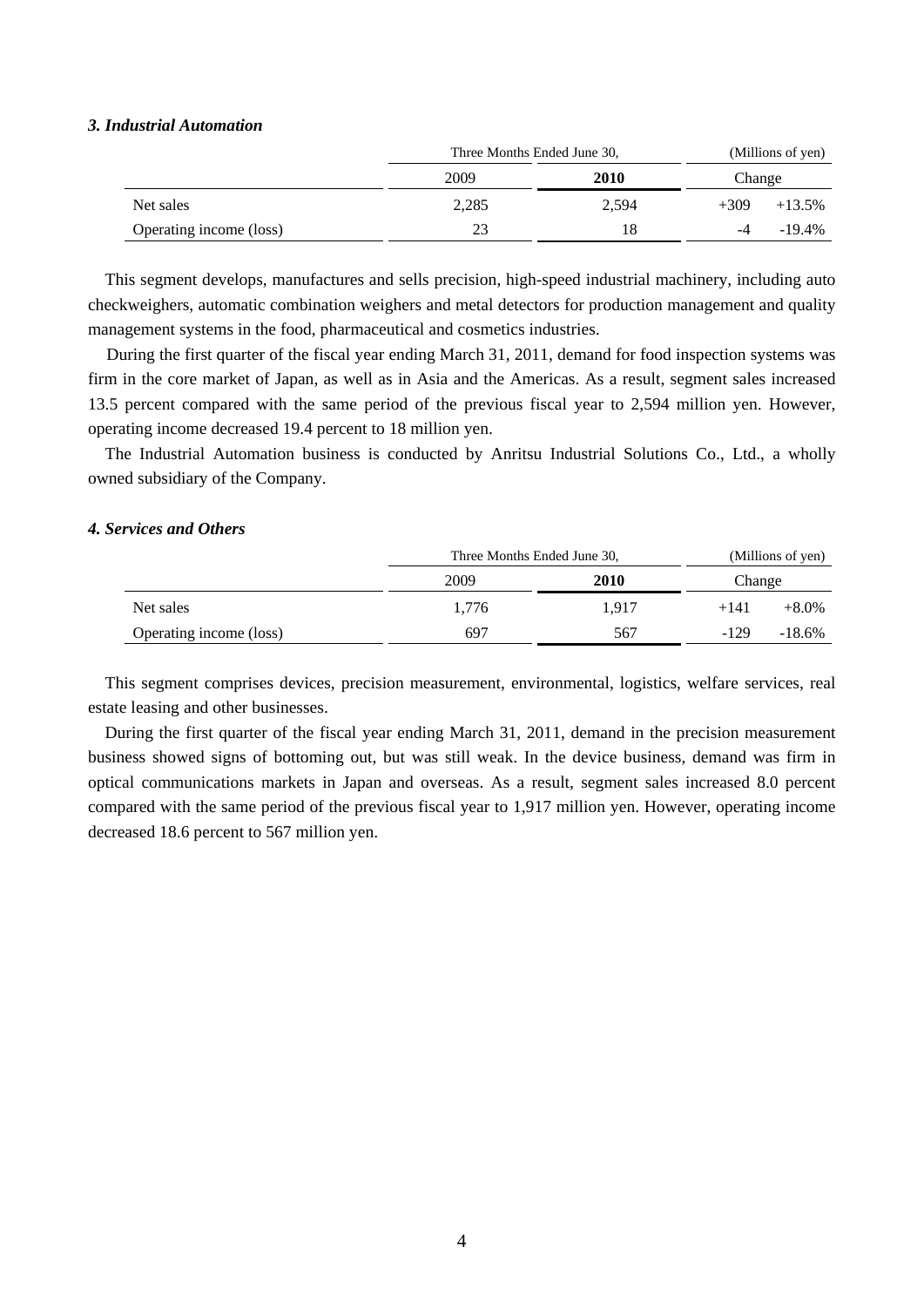#### *3. Industrial Automation*

|                         |       | Three Months Ended June 30, |        | (Millions of yen) |  |
|-------------------------|-------|-----------------------------|--------|-------------------|--|
|                         | 2009  |                             | Change |                   |  |
| Net sales               | 2,285 | 2,594                       | $+309$ | $+13.5\%$         |  |
| Operating income (loss) | 23    | 18                          |        | $-19.4\%$         |  |

This segment develops, manufactures and sells precision, high-speed industrial machinery, including auto checkweighers, automatic combination weighers and metal detectors for production management and quality management systems in the food, pharmaceutical and cosmetics industries.

During the first quarter of the fiscal year ending March 31, 2011, demand for food inspection systems was firm in the core market of Japan, as well as in Asia and the Americas. As a result, segment sales increased 13.5 percent compared with the same period of the previous fiscal year to 2,594 million yen. However, operating income decreased 19.4 percent to 18 million yen.

The Industrial Automation business is conducted by Anritsu Industrial Solutions Co., Ltd., a wholly owned subsidiary of the Company.

## *4. Services and Others*

|                         | Three Months Ended June 30, |       | (Millions of yen) |           |
|-------------------------|-----------------------------|-------|-------------------|-----------|
|                         | 2009                        | 2010  | Change            |           |
| Net sales               | 1.776                       | 1.917 | $+141$            | $+8.0\%$  |
| Operating income (loss) | 697                         | 567   | $-129$            | $-18.6\%$ |

This segment comprises devices, precision measurement, environmental, logistics, welfare services, real estate leasing and other businesses.

During the first quarter of the fiscal year ending March 31, 2011, demand in the precision measurement business showed signs of bottoming out, but was still weak. In the device business, demand was firm in optical communications markets in Japan and overseas. As a result, segment sales increased 8.0 percent compared with the same period of the previous fiscal year to 1,917 million yen. However, operating income decreased 18.6 percent to 567 million yen.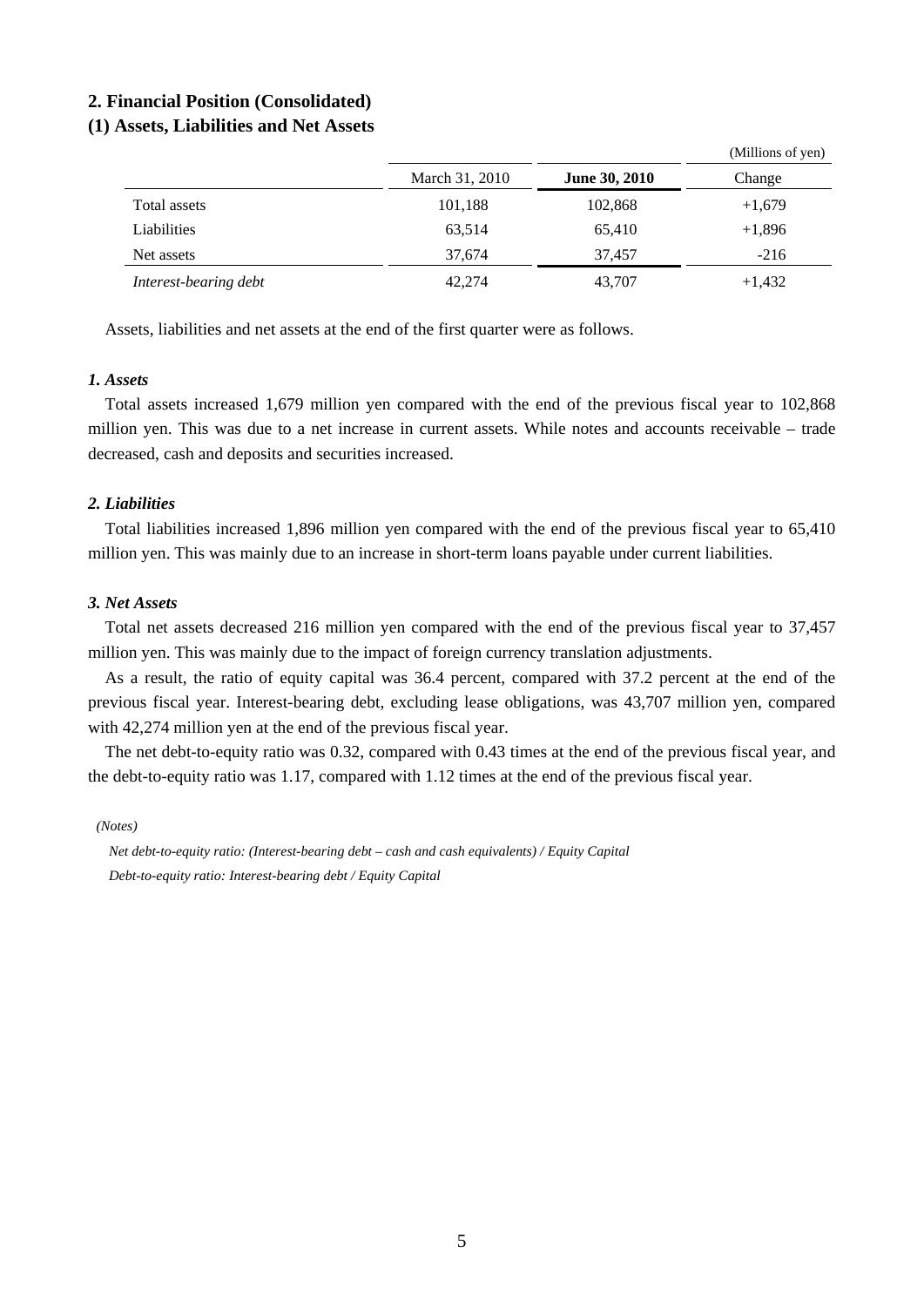## **2. Financial Position (Consolidated)**

## **(1) Assets, Liabilities and Net Assets**

|                       |                |                      | $($ winnons or $y$ cii) |
|-----------------------|----------------|----------------------|-------------------------|
|                       | March 31, 2010 | <b>June 30, 2010</b> | Change                  |
| Total assets          | 101,188        | 102,868              | $+1,679$                |
| Liabilities           | 63,514         | 65,410               | $+1,896$                |
| Net assets            | 37.674         | 37.457               | $-216$                  |
| Interest-bearing debt | 42,274         | 43,707               | $+1,432$                |

 $(M)$ llions of yen)

Assets, liabilities and net assets at the end of the first quarter were as follows.

## *1. Assets*

Total assets increased 1,679 million yen compared with the end of the previous fiscal year to 102,868 million yen. This was due to a net increase in current assets. While notes and accounts receivable – trade decreased, cash and deposits and securities increased.

## *2. Liabilities*

Total liabilities increased 1,896 million yen compared with the end of the previous fiscal year to 65,410 million yen. This was mainly due to an increase in short-term loans payable under current liabilities.

## *3. Net Assets*

Total net assets decreased 216 million yen compared with the end of the previous fiscal year to 37,457 million yen. This was mainly due to the impact of foreign currency translation adjustments.

As a result, the ratio of equity capital was 36.4 percent, compared with 37.2 percent at the end of the previous fiscal year. Interest-bearing debt, excluding lease obligations, was 43,707 million yen, compared with 42,274 million yen at the end of the previous fiscal year.

The net debt-to-equity ratio was 0.32, compared with 0.43 times at the end of the previous fiscal year, and the debt-to-equity ratio was 1.17, compared with 1.12 times at the end of the previous fiscal year.

*(Notes)* 

*Net debt-to-equity ratio: (Interest-bearing debt – cash and cash equivalents) / Equity Capital Debt-to-equity ratio: Interest-bearing debt / Equity Capital*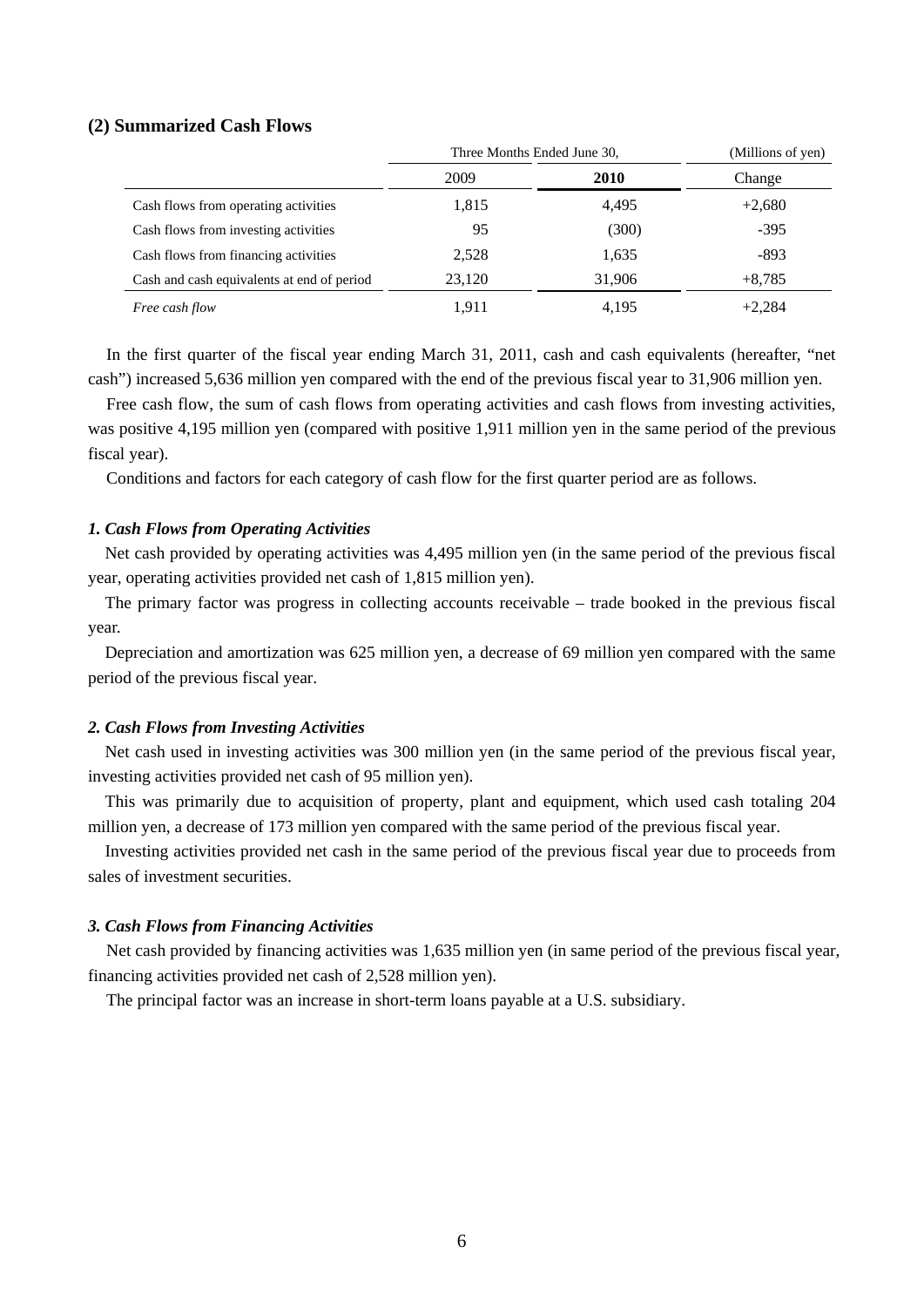## **(2) Summarized Cash Flows**

|                                            | Three Months Ended June 30, |        | (Millions of yen) |
|--------------------------------------------|-----------------------------|--------|-------------------|
|                                            | 2009                        | 2010   | Change            |
| Cash flows from operating activities       | 1,815                       | 4,495  | $+2,680$          |
| Cash flows from investing activities       | 95                          | (300)  | $-395$            |
| Cash flows from financing activities       | 2,528                       | 1,635  | -893              |
| Cash and cash equivalents at end of period | 23,120                      | 31,906 | $+8,785$          |
| Free cash flow                             | 1,911                       | 4,195  | $+2.284$          |

In the first quarter of the fiscal year ending March 31, 2011, cash and cash equivalents (hereafter, "net cash") increased 5,636 million yen compared with the end of the previous fiscal year to 31,906 million yen.

Free cash flow, the sum of cash flows from operating activities and cash flows from investing activities, was positive 4,195 million yen (compared with positive 1,911 million yen in the same period of the previous fiscal year).

Conditions and factors for each category of cash flow for the first quarter period are as follows.

#### *1. Cash Flows from Operating Activities*

Net cash provided by operating activities was 4,495 million yen (in the same period of the previous fiscal year, operating activities provided net cash of 1,815 million yen).

The primary factor was progress in collecting accounts receivable – trade booked in the previous fiscal year.

Depreciation and amortization was 625 million yen, a decrease of 69 million yen compared with the same period of the previous fiscal year.

## *2. Cash Flows from Investing Activities*

Net cash used in investing activities was 300 million yen (in the same period of the previous fiscal year, investing activities provided net cash of 95 million yen).

This was primarily due to acquisition of property, plant and equipment, which used cash totaling 204 million yen, a decrease of 173 million yen compared with the same period of the previous fiscal year.

Investing activities provided net cash in the same period of the previous fiscal year due to proceeds from sales of investment securities.

## *3. Cash Flows from Financing Activities*

Net cash provided by financing activities was 1,635 million yen (in same period of the previous fiscal year, financing activities provided net cash of 2,528 million yen).

The principal factor was an increase in short-term loans payable at a U.S. subsidiary.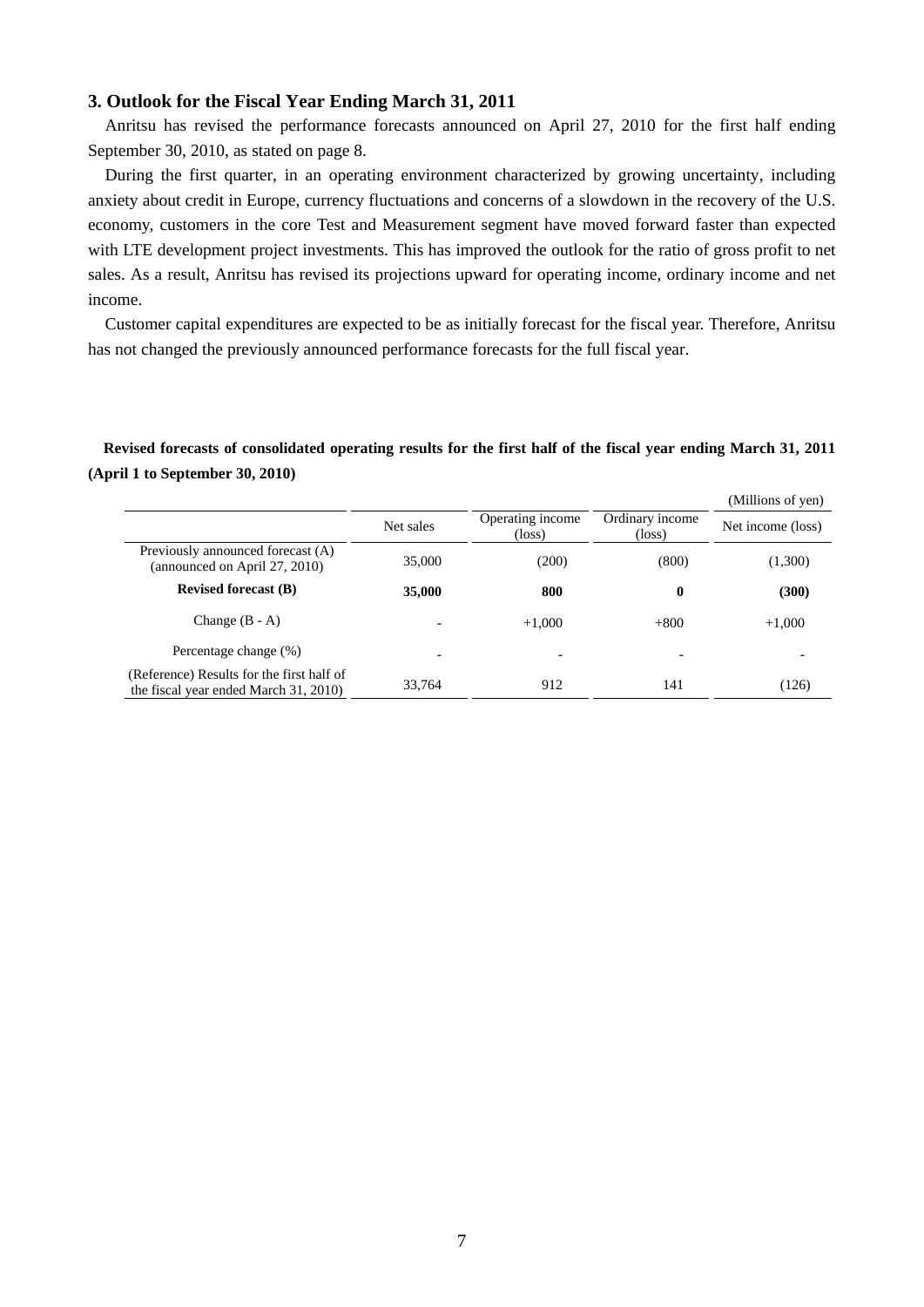## **3. Outlook for the Fiscal Year Ending March 31, 2011**

Anritsu has revised the performance forecasts announced on April 27, 2010 for the first half ending September 30, 2010, as stated on page 8.

During the first quarter, in an operating environment characterized by growing uncertainty, including anxiety about credit in Europe, currency fluctuations and concerns of a slowdown in the recovery of the U.S. economy, customers in the core Test and Measurement segment have moved forward faster than expected with LTE development project investments. This has improved the outlook for the ratio of gross profit to net sales. As a result, Anritsu has revised its projections upward for operating income, ordinary income and net income.

Customer capital expenditures are expected to be as initially forecast for the fiscal year. Therefore, Anritsu has not changed the previously announced performance forecasts for the full fiscal year.

## **Revised forecasts of consolidated operating results for the first half of the fiscal year ending March 31, 2011 (April 1 to September 30, 2010)**

|                                                                                    |                          |                                     |                                    | (Millions of yen) |
|------------------------------------------------------------------------------------|--------------------------|-------------------------------------|------------------------------------|-------------------|
|                                                                                    | Net sales                | Operating income<br>$(\text{loss})$ | Ordinary income<br>$(\text{loss})$ | Net income (loss) |
| Previously announced forecast (A)<br>(announced on April 27, 2010)                 | 35,000                   | (200)                               | (800)                              | (1,300)           |
| <b>Revised forecast (B)</b>                                                        | 35,000                   | 800                                 | $\boldsymbol{0}$                   | (300)             |
| Change $(B - A)$                                                                   |                          | $+1,000$                            | $+800$                             | $+1,000$          |
| Percentage change (%)                                                              | $\overline{\phantom{0}}$ |                                     |                                    |                   |
| (Reference) Results for the first half of<br>the fiscal year ended March 31, 2010) | 33,764                   | 912                                 | 141                                | (126)             |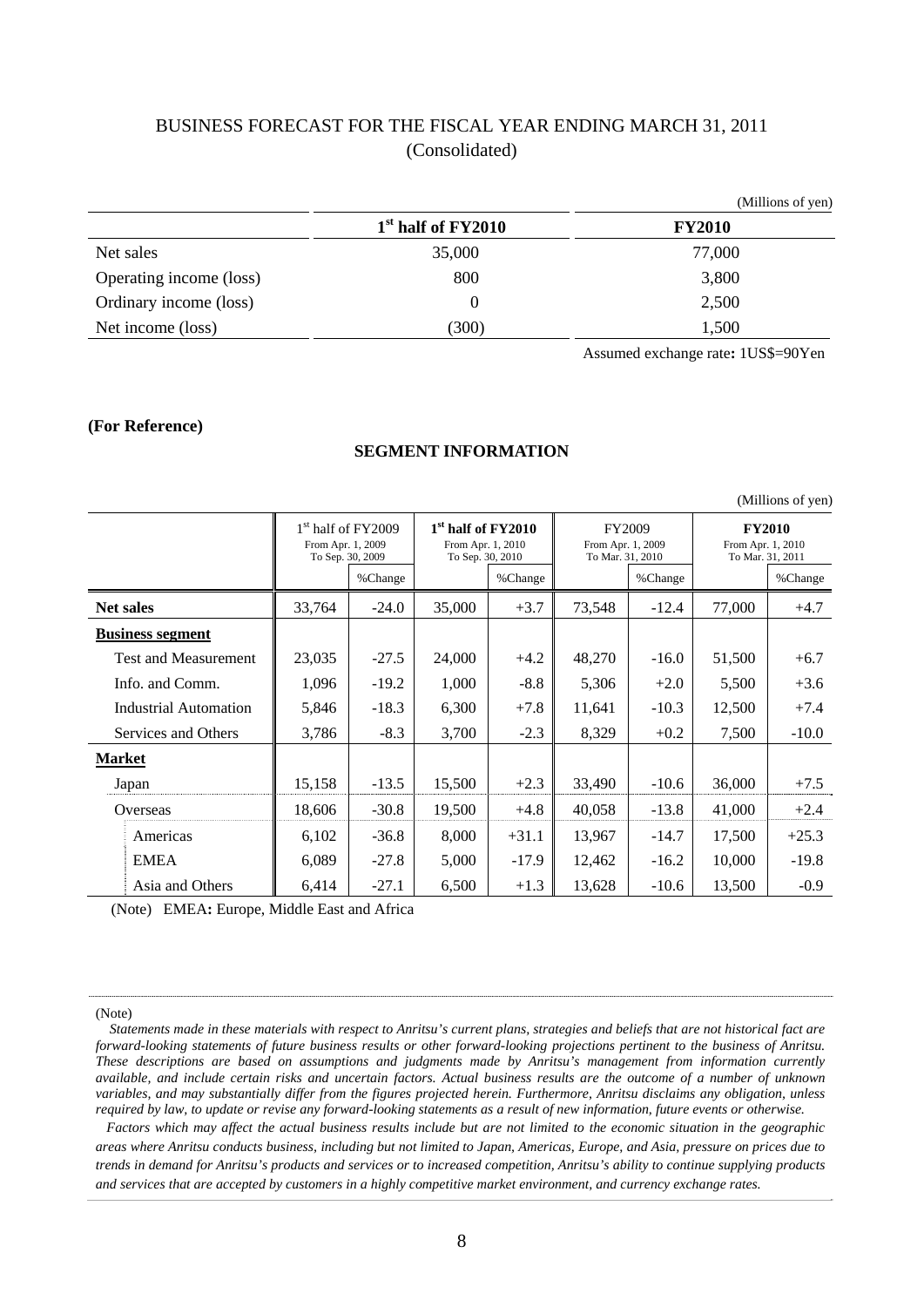## BUSINESS FORECAST FOR THE FISCAL YEAR ENDING MARCH 31, 2011 (Consolidated)

|                         |                                | (Millions of yen) |
|-------------------------|--------------------------------|-------------------|
|                         | 1 <sup>st</sup> half of FY2010 | <b>FY2010</b>     |
| Net sales               | 35,000                         | 77,000            |
| Operating income (loss) | 800                            | 3,800             |
| Ordinary income (loss)  |                                | 2,500             |
| Net income (loss)       | (300)                          | 1,500             |

Assumed exchange rate**:** 1US\$=90Yen

#### **(For Reference)**

## **SEGMENT INFORMATION**

|        | (Millions of yen)            |                                                                 |         |        |                                                                         |        |                                                 |        |                                                        |  |
|--------|------------------------------|-----------------------------------------------------------------|---------|--------|-------------------------------------------------------------------------|--------|-------------------------------------------------|--------|--------------------------------------------------------|--|
|        |                              | $1st$ half of $FY2009$<br>From Apr. 1, 2009<br>To Sep. 30, 2009 |         |        | 1 <sup>st</sup> half of FY2010<br>From Apr. 1, 2010<br>To Sep. 30, 2010 |        | FY2009<br>From Apr. 1, 2009<br>To Mar. 31, 2010 |        | <b>FY2010</b><br>From Apr. 1, 2010<br>To Mar. 31, 2011 |  |
|        |                              |                                                                 | %Change |        | %Change                                                                 |        | %Change                                         |        | %Change                                                |  |
|        | <b>Net sales</b>             | 33,764                                                          | $-24.0$ | 35,000 | $+3.7$                                                                  | 73,548 | $-12.4$                                         | 77,000 | $+4.7$                                                 |  |
|        | <b>Business segment</b>      |                                                                 |         |        |                                                                         |        |                                                 |        |                                                        |  |
|        | Test and Measurement         | 23,035                                                          | $-27.5$ | 24,000 | $+4.2$                                                                  | 48,270 | $-16.0$                                         | 51,500 | $+6.7$                                                 |  |
|        | Info. and Comm.              | 1,096                                                           | $-19.2$ | 1,000  | $-8.8$                                                                  | 5,306  | $+2.0$                                          | 5,500  | $+3.6$                                                 |  |
|        | <b>Industrial Automation</b> | 5,846                                                           | $-18.3$ | 6,300  | $+7.8$                                                                  | 11,641 | $-10.3$                                         | 12,500 | $+7.4$                                                 |  |
|        | Services and Others          | 3,786                                                           | $-8.3$  | 3,700  | $-2.3$                                                                  | 8,329  | $+0.2$                                          | 7,500  | $-10.0$                                                |  |
| Market |                              |                                                                 |         |        |                                                                         |        |                                                 |        |                                                        |  |
|        | Japan                        | 15,158                                                          | $-13.5$ | 15,500 | $+2.3$                                                                  | 33,490 | $-10.6$                                         | 36,000 | $+7.5$                                                 |  |
|        | Overseas                     | 18,606                                                          | $-30.8$ | 19,500 | $+4.8$                                                                  | 40,058 | $-13.8$                                         | 41,000 | $+2.4$                                                 |  |
|        | Americas                     | 6,102                                                           | $-36.8$ | 8,000  | $+31.1$                                                                 | 13,967 | $-14.7$                                         | 17,500 | $+25.3$                                                |  |
|        | <b>EMEA</b>                  | 6,089                                                           | $-27.8$ | 5,000  | $-17.9$                                                                 | 12,462 | $-16.2$                                         | 10,000 | $-19.8$                                                |  |
|        | Asia and Others              | 6,414                                                           | $-27.1$ | 6,500  | $+1.3$                                                                  | 13,628 | $-10.6$                                         | 13,500 | $-0.9$                                                 |  |

(Note) EMEA**:** Europe, Middle East and Africa

(Note)

 *Statements made in these materials with respect to Anritsu's current plans, strategies and beliefs that are not historical fact are forward-looking statements of future business results or other forward-looking projections pertinent to the business of Anritsu. These descriptions are based on assumptions and judgments made by Anritsu's management from information currently available, and include certain risks and uncertain factors. Actual business results are the outcome of a number of unknown variables, and may substantially differ from the figures projected herein. Furthermore, Anritsu disclaims any obligation, unless required by law, to update or revise any forward-looking statements as a result of new information, future events or otherwise.*

*Factors which may affect the actual business results include but are not limited to the economic situation in the geographic areas where Anritsu conducts business, including but not limited to Japan, Americas, Europe, and Asia, pressure on prices due to trends in demand for Anritsu's products and services or to increased competition, Anritsu's ability to continue supplying products and services that are accepted by customers in a highly competitive market environment, and currency exchange rates.*

(Millions of yen)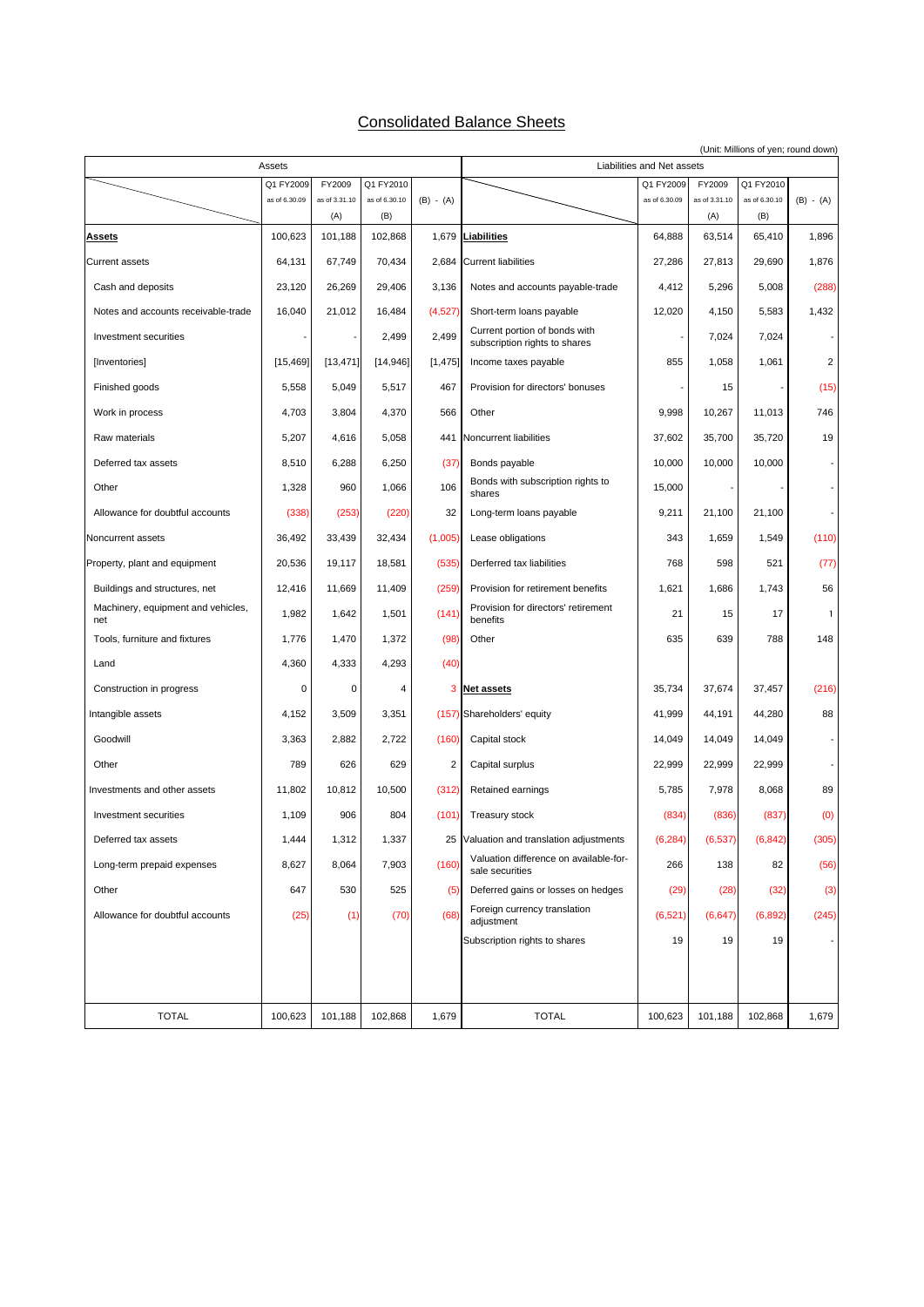## Consolidated Balance Sheets

|                                           | Assets        |                |                |                | (Unit: Millions of yen; round down)<br>Liabilities and Net assets |               |               |               |                |
|-------------------------------------------|---------------|----------------|----------------|----------------|-------------------------------------------------------------------|---------------|---------------|---------------|----------------|
|                                           | Q1 FY2009     | FY2009         | Q1 FY2010      |                |                                                                   | Q1 FY2009     | FY2009        | Q1 FY2010     |                |
|                                           | as of 6.30.09 | as of 3.31.10  | as of 6.30.10  | $(B) - (A)$    |                                                                   | as of 6.30.09 | as of 3.31.10 | as of 6.30.10 | $(B) - (A)$    |
| <b>Assets</b>                             | 100,623       | (A)<br>101,188 | (B)<br>102,868 |                | 1,679 Liabilities                                                 | 64,888        | (A)<br>63,514 | (B)<br>65,410 | 1,896          |
| <b>Current assets</b>                     | 64,131        | 67,749         | 70,434         | 2,684          | <b>Current liabilities</b>                                        | 27,286        | 27,813        | 29,690        | 1,876          |
| Cash and deposits                         | 23,120        | 26,269         | 29,406         | 3,136          | Notes and accounts payable-trade                                  | 4,412         | 5,296         | 5,008         | (288)          |
| Notes and accounts receivable-trade       | 16,040        | 21,012         | 16,484         | (4,527)        | Short-term loans payable                                          | 12,020        | 4,150         | 5,583         | 1,432          |
| Investment securities                     |               |                | 2,499          | 2,499          | Current portion of bonds with<br>subscription rights to shares    |               | 7,024         | 7,024         |                |
| [Inventories]                             | [15, 469]     | [13, 471]      | [14, 946]      | [1, 475]       | Income taxes payable                                              | 855           | 1,058         | 1,061         | $\overline{c}$ |
| Finished goods                            | 5,558         | 5,049          | 5,517          | 467            | Provision for directors' bonuses                                  |               | 15            |               | (15)           |
| Work in process                           | 4,703         | 3,804          | 4,370          | 566            | Other                                                             | 9,998         | 10,267        | 11,013        | 746            |
| Raw materials                             | 5,207         | 4,616          | 5,058          | 441            | Noncurrent liabilities                                            | 37,602        | 35,700        | 35,720        | 19             |
| Deferred tax assets                       | 8,510         | 6,288          | 6,250          | (37)           | Bonds payable                                                     | 10,000        | 10,000        | 10,000        |                |
| Other                                     | 1,328         | 960            | 1,066          | 106            | Bonds with subscription rights to<br>shares                       | 15,000        |               |               |                |
| Allowance for doubtful accounts           | (338)         | (253)          | (220)          | 32             | Long-term loans payable                                           | 9,211         | 21,100        | 21,100        |                |
| Noncurrent assets                         | 36,492        | 33,439         | 32,434         | (1,005)        | Lease obligations                                                 | 343           | 1,659         | 1,549         | (110)          |
| Property, plant and equipment             | 20,536        | 19,117         | 18,581         | (535)          | Derferred tax liabilities                                         | 768           | 598           | 521           | (77)           |
| Buildings and structures, net             | 12,416        | 11,669         | 11,409         | (259)          | Provision for retirement benefits                                 | 1,621         | 1,686         | 1,743         | 56             |
| Machinery, equipment and vehicles,<br>net | 1,982         | 1,642          | 1,501          | (141)          | Provision for directors' retirement<br>benefits                   | 21            | 15            | 17            | $\mathbf{1}$   |
| Tools, furniture and fixtures             | 1,776         | 1,470          | 1,372          | (98)           | Other                                                             | 635           | 639           | 788           | 148            |
| Land                                      | 4,360         | 4,333          | 4,293          | (40)           |                                                                   |               |               |               |                |
| Construction in progress                  | 0             | 0              | 4              | 3              | Net assets                                                        | 35,734        | 37,674        | 37,457        | (216)          |
| Intangible assets                         | 4,152         | 3,509          | 3,351          |                | (157) Shareholders' equity                                        | 41,999        | 44,191        | 44,280        | 88             |
| Goodwill                                  | 3,363         | 2,882          | 2,722          | (160)          | Capital stock                                                     | 14,049        | 14,049        | 14,049        |                |
| Other                                     | 789           | 626            | 629            | $\overline{2}$ | Capital surplus                                                   | 22,999        | 22,999        | 22,999        |                |
| Investments and other assets              | 11,802        | 10,812         | 10,500         | (312)          | Retained earnings                                                 | 5,785         | 7,978         | 8,068         | 89             |
| Investment securities                     | 1,109         | 906            | 804            | (101)          | <b>Treasury stock</b>                                             | (834)         | (836)         | (837)         | (0)            |
| Deferred tax assets                       | 1,444         | 1,312          | 1,337          | 25             | Valuation and translation adjustments                             | (6, 284)      | (6, 537)      | (6, 842)      | (305)          |
| Long-term prepaid expenses                | 8,627         | 8,064          | 7,903          | (160)          | Valuation difference on available-for-<br>sale securities         | 266           | 138           | 82            | (56)           |
| Other                                     | 647           | 530            | 525            | (5)            | Deferred gains or losses on hedges                                | (29)          | (28)          | (32)          | (3)            |
| Allowance for doubtful accounts           | (25)          | (1)            | (70)           | (68)           | Foreign currency translation<br>adjustment                        | (6, 521)      | (6, 647)      | (6, 892)      | (245)          |
|                                           |               |                |                |                | Subscription rights to shares                                     | 19            | 19            | 19            |                |
|                                           |               |                |                |                |                                                                   |               |               |               |                |
|                                           |               |                |                |                |                                                                   |               |               |               |                |
| <b>TOTAL</b>                              | 100,623       | 101,188        | 102,868        | 1,679          | <b>TOTAL</b>                                                      | 100,623       | 101,188       | 102,868       | 1,679          |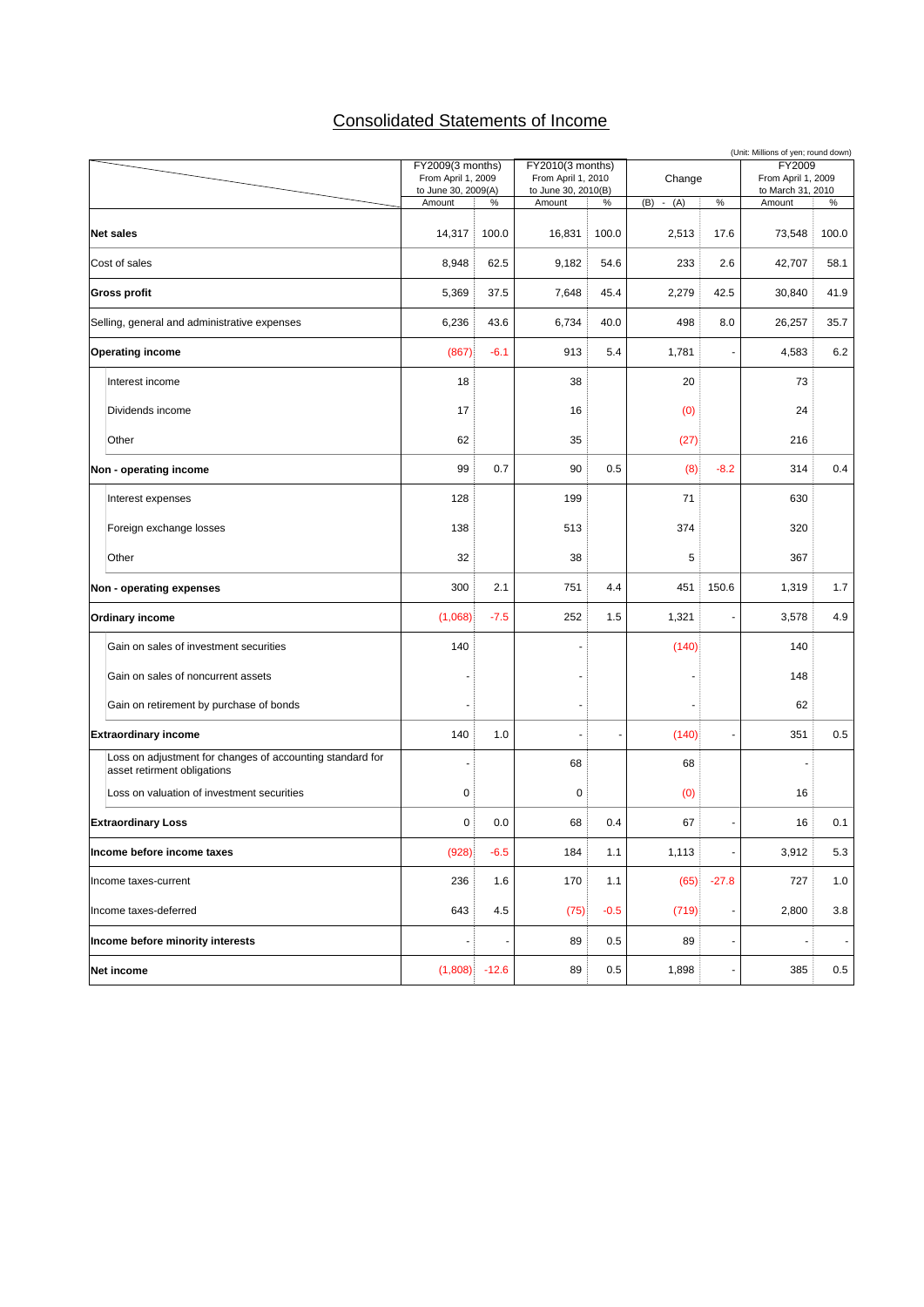# Consolidated Statements of Income

|                                                                                          |                                           |         |                                           |        |               |                          | (Unit: Millions of yen; round down)     |                |
|------------------------------------------------------------------------------------------|-------------------------------------------|---------|-------------------------------------------|--------|---------------|--------------------------|-----------------------------------------|----------------|
|                                                                                          | FY2009(3 months)                          |         | FY2010(3 months)                          |        |               |                          | FY2009                                  |                |
|                                                                                          | From April 1, 2009<br>to June 30, 2009(A) |         | From April 1, 2010<br>to June 30, 2010(B) |        | Change        |                          | From April 1, 2009<br>to March 31, 2010 |                |
|                                                                                          | Amount                                    | $\%$    | Amount                                    | $\%$   | (B)<br>$-(A)$ | $\%$                     | Amount                                  | $\%$           |
|                                                                                          |                                           |         |                                           |        |               |                          |                                         |                |
| <b>Net sales</b>                                                                         | 14,317                                    | 100.0   | 16,831                                    | 100.0  | 2,513         | 17.6                     | 73,548                                  | 100.0          |
| Cost of sales                                                                            | 8,948                                     | 62.5    | 9,182                                     | 54.6   | 233           | 2.6                      | 42,707                                  | 58.1           |
| <b>Gross profit</b>                                                                      | 5,369                                     | 37.5    | 7,648                                     | 45.4   | 2,279         | 42.5                     | 30,840                                  | 41.9           |
| Selling, general and administrative expenses                                             | 6,236                                     | 43.6    | 6,734                                     | 40.0   | 498           | 8.0                      | 26,257                                  | 35.7           |
| <b>Operating income</b>                                                                  | (867)                                     | $-6.1$  | 913                                       | 5.4    | 1,781         |                          | 4,583                                   | 6.2            |
| Interest income                                                                          | 18                                        |         | 38                                        |        | 20            |                          | 73                                      |                |
| Dividends income                                                                         | 17                                        |         | 16                                        |        | (0)           |                          | 24                                      |                |
| Other                                                                                    | 62                                        |         | 35                                        |        | (27)          |                          | 216                                     |                |
| Non - operating income                                                                   | 99                                        | 0.7     | 90                                        | 0.5    | (8)           | $-8.2$                   | 314                                     | 0.4            |
| Interest expenses                                                                        | 128                                       |         | 199                                       |        | 71            |                          | 630                                     |                |
| Foreign exchange losses                                                                  | 138                                       |         | 513                                       |        | 374           |                          | 320                                     |                |
| Other                                                                                    | 32                                        |         | 38                                        |        | 5             |                          | 367                                     |                |
| Non - operating expenses                                                                 | 300                                       | 2.1     | 751                                       | 4.4    | 451           | 150.6                    | 1,319                                   | 1.7            |
| Ordinary income                                                                          | (1,068)                                   | $-7.5$  | 252                                       | 1.5    | 1,321         |                          | 3,578                                   | 4.9            |
| Gain on sales of investment securities                                                   | 140                                       |         |                                           |        | (140)         |                          | 140                                     |                |
| Gain on sales of noncurrent assets                                                       |                                           |         |                                           |        |               |                          | 148                                     |                |
| Gain on retirement by purchase of bonds                                                  |                                           |         |                                           |        |               |                          | 62                                      |                |
| <b>Extraordinary income</b>                                                              | 140                                       | 1.0     |                                           |        | (140)         |                          | 351                                     | 0.5            |
| Loss on adjustment for changes of accounting standard for<br>asset retirment obligations |                                           |         | 68                                        |        | 68            |                          |                                         |                |
| Loss on valuation of investment securities                                               | 0                                         |         | 0                                         |        | (0)           |                          | 16                                      |                |
| <b>Extraordinary Loss</b>                                                                | 0                                         | 0.0     | 68                                        | 0.4    | 67            |                          | 16                                      | 0.1            |
| Income before income taxes                                                               | (928)                                     | $-6.5$  | 184                                       | 1.1    | 1,113         | $\overline{\phantom{a}}$ | 3,912                                   | 5.3            |
| Income taxes-current                                                                     | 236                                       | 1.6     | 170                                       | 1.1    | (65)          | $-27.8$                  | 727                                     | 1.0            |
| Income taxes-deferred                                                                    | 643                                       | 4.5     | (75)                                      | $-0.5$ | (719)         | $\overline{\phantom{a}}$ | 2,800                                   | 3.8            |
| Income before minority interests                                                         |                                           |         | 89                                        | 0.5    | 89            |                          |                                         | $\blacksquare$ |
| Net income                                                                               | (1,808)                                   | $-12.6$ | 89                                        | 0.5    | 1,898         |                          | 385                                     | $0.5\,$        |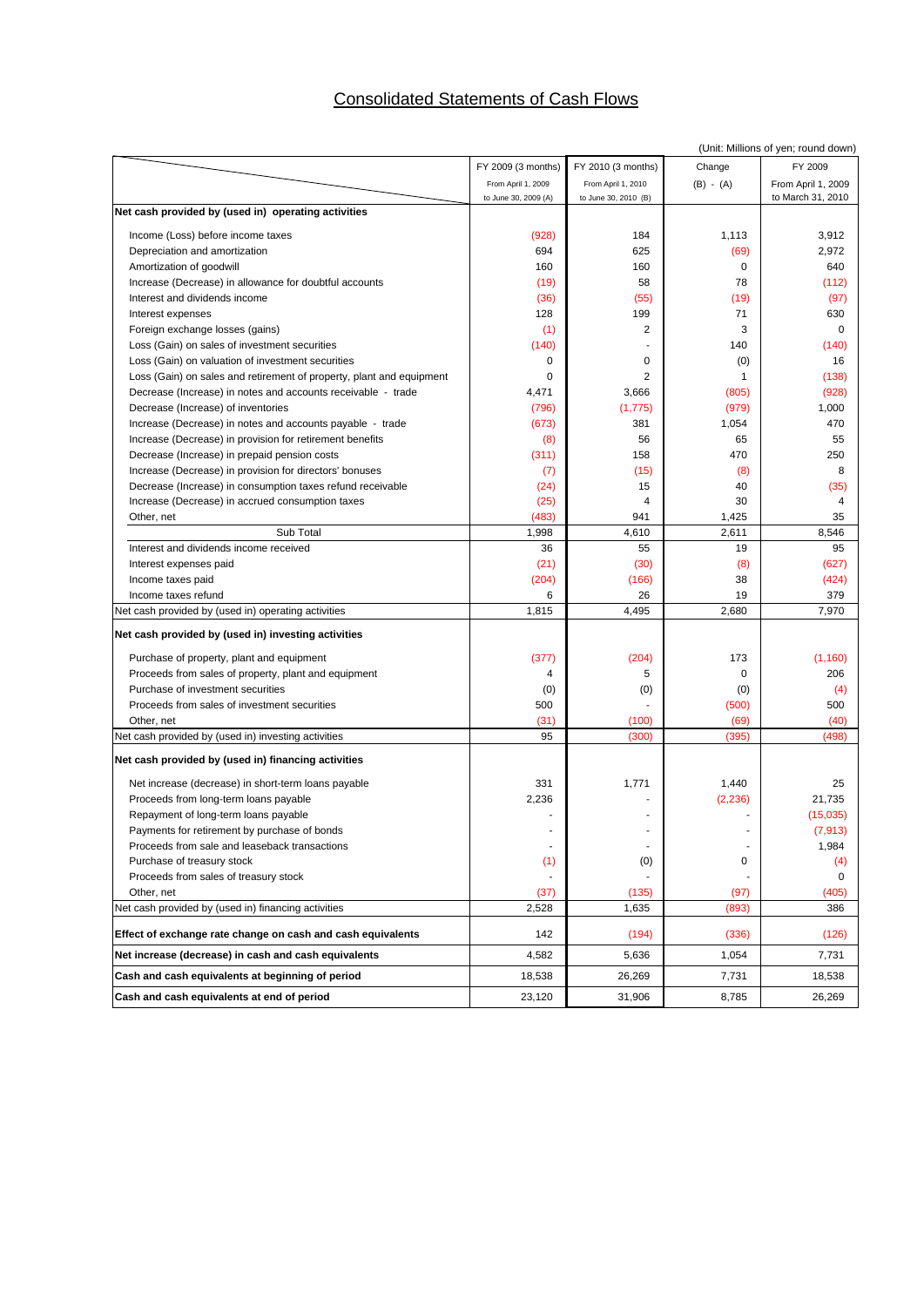# Consolidated Statements of Cash Flows

|                                                                      |                          |                      |             | (Unit: Millions of yen; round down) |
|----------------------------------------------------------------------|--------------------------|----------------------|-------------|-------------------------------------|
|                                                                      | FY 2009 (3 months)       | FY 2010 (3 months)   | Change      | FY 2009                             |
|                                                                      | From April 1, 2009       | From April 1, 2010   | $(B) - (A)$ | From April 1, 2009                  |
|                                                                      | to June 30, 2009 (A)     | to June 30, 2010 (B) |             | to March 31, 2010                   |
| Net cash provided by (used in) operating activities                  |                          |                      |             |                                     |
| Income (Loss) before income taxes                                    | (928)                    | 184                  | 1,113       | 3,912                               |
| Depreciation and amortization                                        | 694                      | 625                  | (69)        | 2,972                               |
| Amortization of goodwill                                             | 160                      | 160                  | $\mathbf 0$ | 640                                 |
| Increase (Decrease) in allowance for doubtful accounts               | (19)                     | 58                   | 78          | (112)                               |
| Interest and dividends income                                        | (36)                     | (55)                 | (19)        | (97)                                |
| Interest expenses                                                    | 128                      | 199                  | 71          | 630                                 |
| Foreign exchange losses (gains)                                      | (1)                      | $\overline{2}$       | 3           | $\Omega$                            |
| Loss (Gain) on sales of investment securities                        | (140)                    |                      | 140         | (140)                               |
| Loss (Gain) on valuation of investment securities                    | 0                        | 0                    | (0)         | 16                                  |
| Loss (Gain) on sales and retirement of property, plant and equipment | 0                        | $\overline{2}$       | 1           | (138)                               |
| Decrease (Increase) in notes and accounts receivable - trade         | 4,471                    | 3,666                | (805)       | (928)                               |
| Decrease (Increase) of inventories                                   | (796)                    | (1,775)              | (979)       | 1,000                               |
| Increase (Decrease) in notes and accounts payable - trade            | (673)                    | 381                  | 1,054       | 470                                 |
| Increase (Decrease) in provision for retirement benefits             | (8)                      | 56                   | 65          | 55                                  |
| Decrease (Increase) in prepaid pension costs                         | (311)                    | 158                  | 470         | 250                                 |
| Increase (Decrease) in provision for directors' bonuses              | (7)                      | (15)                 | (8)         | 8                                   |
| Decrease (Increase) in consumption taxes refund receivable           | (24)                     | 15                   | 40          | (35)                                |
| Increase (Decrease) in accrued consumption taxes                     | (25)                     | 4                    | 30          | 4                                   |
| Other, net                                                           | (483)                    | 941                  | 1,425       | 35                                  |
| Sub Total                                                            | 1,998                    | 4,610                | 2,611       | 8,546                               |
| Interest and dividends income received                               | 36                       | 55                   | 19          | 95                                  |
| Interest expenses paid                                               | (21)                     | (30)                 | (8)         | (627)                               |
| Income taxes paid                                                    | (204)                    | (166)                | 38          | (424)                               |
| Income taxes refund                                                  | 6                        | 26                   | 19          | 379                                 |
| Net cash provided by (used in) operating activities                  | 1,815                    | 4,495                | 2,680       | 7,970                               |
| Net cash provided by (used in) investing activities                  |                          |                      |             |                                     |
| Purchase of property, plant and equipment                            | (377)                    | (204)                | 173         | (1, 160)                            |
| Proceeds from sales of property, plant and equipment                 | 4                        | 5                    | 0           | 206                                 |
| Purchase of investment securities                                    | (0)                      | (0)                  | (0)         | (4)                                 |
| Proceeds from sales of investment securities                         | 500                      |                      | (500)       | 500                                 |
| Other, net                                                           | (31)                     | (100)                | (69)        | (40)                                |
| Net cash provided by (used in) investing activities                  | 95                       | (300)                | (395)       | (498)                               |
| Net cash provided by (used in) financing activities                  |                          |                      |             |                                     |
| Net increase (decrease) in short-term loans payable                  | 331                      | 1,771                | 1,440       | 25                                  |
| Proceeds from long-term loans payable                                | 2,236                    |                      | (2, 236)    | 21,735                              |
| Repayment of long-term loans payable                                 |                          |                      |             | (15,035)                            |
| Payments for retirement by purchase of bonds                         |                          |                      |             | (7, 913)                            |
| Proceeds from sale and leaseback transactions                        | $\overline{\phantom{a}}$ |                      | ٠           | 1,984                               |
| Purchase of treasury stock                                           | (1)                      | (0)                  | 0           | (4)                                 |
| Proceeds from sales of treasury stock                                |                          |                      |             | 0                                   |
| Other, net                                                           | (37)                     | (135)                | (97)        | (405)                               |
| Net cash provided by (used in) financing activities                  | 2,528                    | 1,635                | (893)       | 386                                 |
| Effect of exchange rate change on cash and cash equivalents          | 142                      | (194)                | (336)       | (126)                               |
| Net increase (decrease) in cash and cash equivalents                 | 4,582                    | 5,636                | 1,054       | 7,731                               |
| Cash and cash equivalents at beginning of period                     | 18,538                   | 26,269               | 7,731       | 18,538                              |
| Cash and cash equivalents at end of period                           | 23,120                   | 31,906               | 8,785       | 26,269                              |
|                                                                      |                          |                      |             |                                     |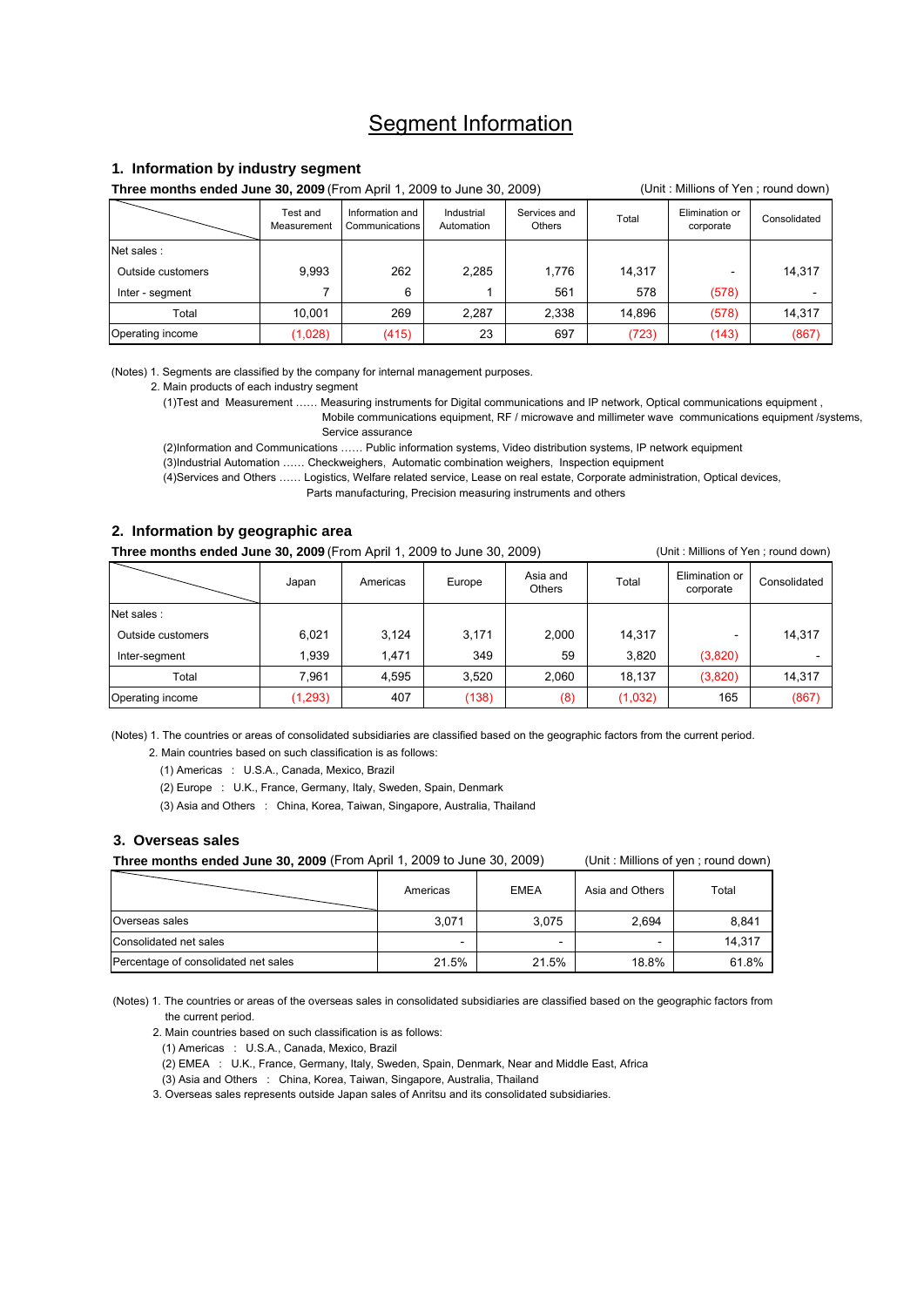## Segment Information

#### **1. Information by industry segment**

**Three months ended June 30, 2009** (From April 1, 2009 to June 30, 2009) (Unit: Millions of Yen ; round down)

|                   | Test and<br>Measurement | Information and<br>Communications | Industrial<br>Automation | Services and<br>Others | Total  | Elimination or<br>corporate | Consolidated |
|-------------------|-------------------------|-----------------------------------|--------------------------|------------------------|--------|-----------------------------|--------------|
| Net sales :       |                         |                                   |                          |                        |        |                             |              |
| Outside customers | 9,993                   | 262                               | 2,285                    | 1.776                  | 14.317 |                             | 14,317       |
| Inter - segment   |                         | 6                                 |                          | 561                    | 578    | (578)                       |              |
| Total             | 10.001                  | 269                               | 2,287                    | 2.338                  | 14.896 | (578)                       | 14,317       |
| Operating income  | (1,028)                 | (415)                             | 23                       | 697                    | (723)  | (143)                       | (867)        |

(Notes) 1. Segments are classified by the company for internal management purposes.

2. Main products of each industry segment

(1)Test and Measurement …… Measuring instruments for Digital communications and IP network, Optical communications equipment ,

 Mobile communications equipment, RF / microwave and millimeter wave communications equipment /systems, Service assurance

(2)Information and Communications …… Public information systems, Video distribution systems, IP network equipment

(3)Industrial Automation …… Checkweighers, Automatic combination weighers, Inspection equipment

 (4)Services and Others …… Logistics, Welfare related service, Lease on real estate, Corporate administration, Optical devices, Parts manufacturing, Precision measuring instruments and others

#### **2. Information by geographic area**

**Three months ended June 30, 2009** (From April 1, 2009 to June 30, 2009) (Unit: Millions of Yen ; round down)

|                   | Japan    | Americas | Europe | Asia and<br><b>Others</b> | Total   | Elimination or<br>corporate | Consolidated |
|-------------------|----------|----------|--------|---------------------------|---------|-----------------------------|--------------|
| Net sales :       |          |          |        |                           |         |                             |              |
| Outside customers | 6,021    | 3,124    | 3,171  | 2.000                     | 14.317  |                             | 14,317       |
| Inter-segment     | 1.939    | 1.471    | 349    | 59                        | 3,820   | (3,820)                     |              |
| Total             | 7.961    | 4.595    | 3,520  | 2.060                     | 18.137  | (3,820)                     | 14,317       |
| Operating income  | (1, 293) | 407      | (138)  | (8)                       | (1,032) | 165                         | (867)        |

(Notes) 1. The countries or areas of consolidated subsidiaries are classified based on the geographic factors from the current period.

2. Main countries based on such classification is as follows:

(1) Americas : U.S.A., Canada, Mexico, Brazil

(2) Europe : U.K., France, Germany, Italy, Sweden, Spain, Denmark

(3) Asia and Others : China, Korea, Taiwan, Singapore, Australia, Thailand

#### **3. Overseas sales**

**Three months ended June 30, 2009** (From April 1, 2009 to June 30, 2009) (Unit : Millions of yen ; round down)

|                                      | Americas | <b>EMEA</b> | Asia and Others | Total  |
|--------------------------------------|----------|-------------|-----------------|--------|
| Overseas sales                       | 3,071    | 3,075       | 2,694           | 8,841  |
| Consolidated net sales               | -        | -           | -               | 14.317 |
| Percentage of consolidated net sales | 21.5%    | 21.5%       | 18.8%           | 61.8%  |

(Notes) 1. The countries or areas of the overseas sales in consolidated subsidiaries are classified based on the geographic factors from the current period.

2. Main countries based on such classification is as follows:

(1) Americas : U.S.A., Canada, Mexico, Brazil

(2) EMEA : U.K., France, Germany, Italy, Sweden, Spain, Denmark, Near and Middle East, Africa

(3) Asia and Others : China, Korea, Taiwan, Singapore, Australia, Thailand

3. Overseas sales represents outside Japan sales of Anritsu and its consolidated subsidiaries.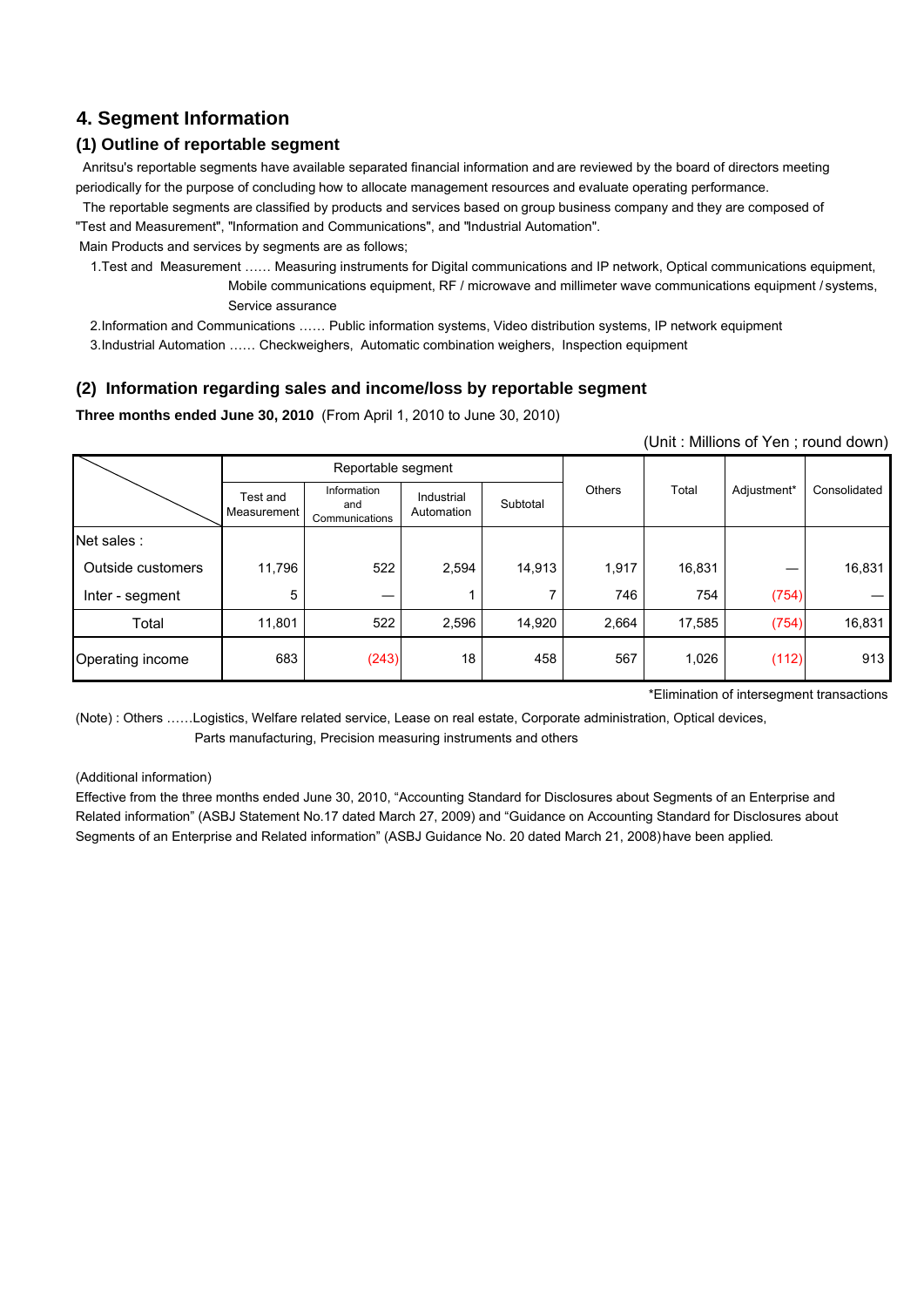## **4. Segment Information**

## **(1) Outline of reportable segment**

 Anritsu's reportable segments have available separated financial information and are reviewed by the board of directors meeting periodically for the purpose of concluding how to allocate management resources and evaluate operating performance.

 The reportable segments are classified by products and services based on group business company and they are composed of "Test and Measurement", "Information and Communications", and "Industrial Automation".

Main Products and services by segments are as follows;

 1.Test and Measurement …… Measuring instruments for Digital communications and IP network, Optical communications equipment, Mobile communications equipment, RF / microwave and millimeter wave communications equipment / systems, Service assurance

2.Information and Communications …… Public information systems, Video distribution systems, IP network equipment

3.Industrial Automation …… Checkweighers, Automatic combination weighers, Inspection equipment

## **(2) Information regarding sales and income/loss by reportable segment**

**Three months ended June 30, 2010** (From April 1, 2010 to June 30, 2010)

(Unit : Millions of Yen ; round down)

|                   |                         | Reportable segment                   |                          |          |        |        |             |              |
|-------------------|-------------------------|--------------------------------------|--------------------------|----------|--------|--------|-------------|--------------|
|                   | Test and<br>Measurement | Information<br>and<br>Communications | Industrial<br>Automation | Subtotal | Others | Total  | Adjustment* | Consolidated |
| Net sales:        |                         |                                      |                          |          |        |        |             |              |
| Outside customers | 11,796                  | 522                                  | 2,594                    | 14,913   | 1,917  | 16,831 |             | 16,831       |
| Inter - segment   | 5                       |                                      |                          |          | 746    | 754    | (754)       |              |
| Total             | 11,801                  | 522                                  | 2,596                    | 14,920   | 2,664  | 17,585 | (754)       | 16,831       |
| Operating income  | 683                     | (243)                                | 18                       | 458      | 567    | 1,026  | (112)       | 913          |

\*Elimination of intersegment transactions

(Note) : Others ……Logistics, Welfare related service, Lease on real estate, Corporate administration, Optical devices, Parts manufacturing, Precision measuring instruments and others

#### (Additional information)

Effective from the three months ended June 30, 2010, "Accounting Standard for Disclosures about Segments of an Enterprise and Related information" (ASBJ Statement No.17 dated March 27, 2009) and "Guidance on Accounting Standard for Disclosures about Segments of an Enterprise and Related information" (ASBJ Guidance No. 20 dated March 21, 2008) have been applied.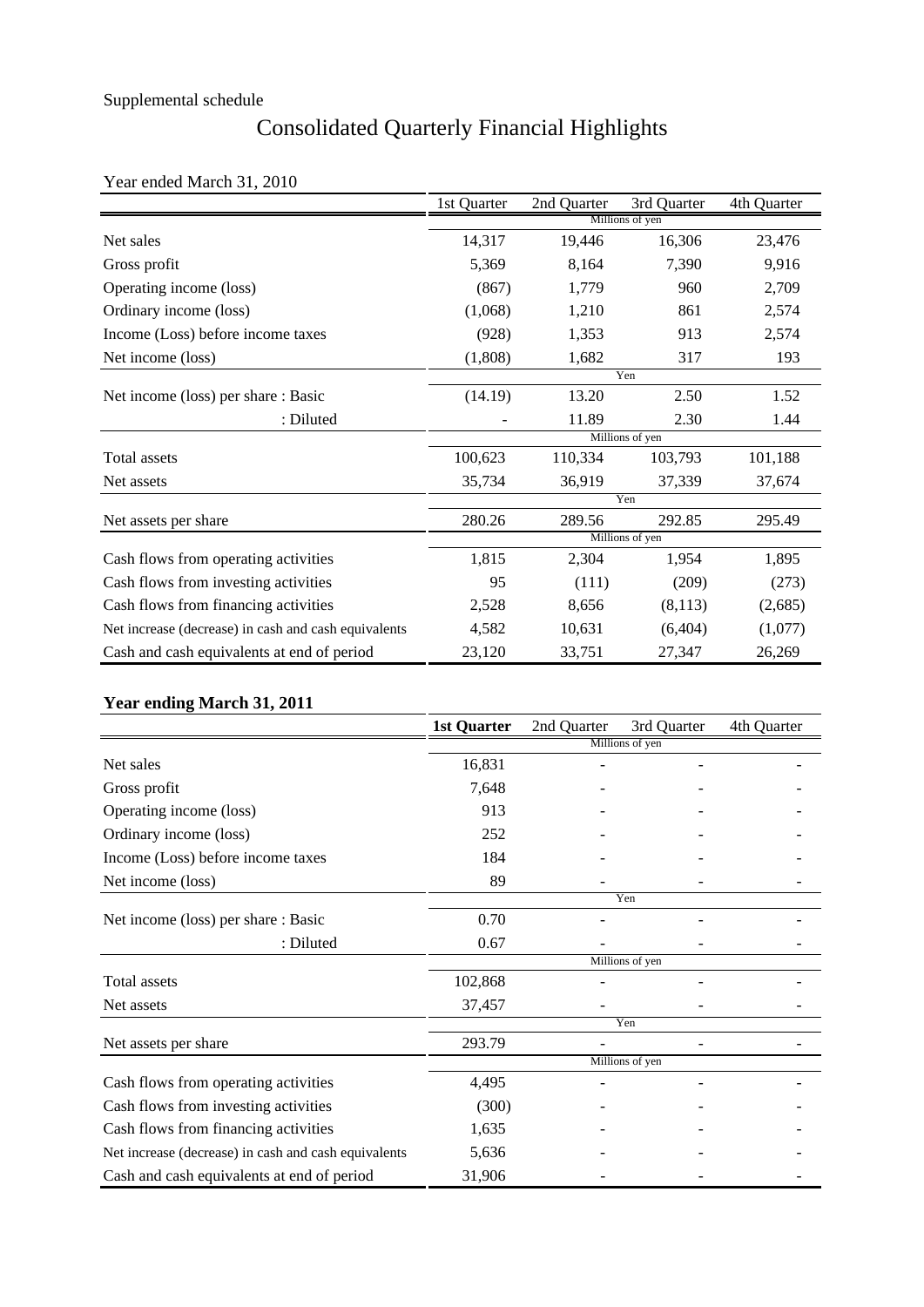# Consolidated Quarterly Financial Highlights

## Year ended March 31, 2010

|                                                      | 1st Quarter | 2nd Quarter | 3rd Quarter     | 4th Quarter |
|------------------------------------------------------|-------------|-------------|-----------------|-------------|
|                                                      |             |             | Millions of yen |             |
| Net sales                                            | 14,317      | 19,446      | 16,306          | 23,476      |
| Gross profit                                         | 5,369       | 8,164       | 7,390           | 9,916       |
| Operating income (loss)                              | (867)       | 1,779       | 960             | 2,709       |
| Ordinary income (loss)                               | (1,068)     | 1,210       | 861             | 2,574       |
| Income (Loss) before income taxes                    | (928)       | 1,353       | 913             | 2,574       |
| Net income (loss)                                    | (1,808)     | 1,682       | 317             | 193         |
|                                                      |             |             | Yen             |             |
| Net income (loss) per share : Basic                  | (14.19)     | 13.20       | 2.50            | 1.52        |
| : Diluted                                            |             | 11.89       | 2.30            | 1.44        |
|                                                      |             |             | Millions of yen |             |
| Total assets                                         | 100,623     | 110,334     | 103,793         | 101,188     |
| Net assets                                           | 35,734      | 36,919      | 37,339          | 37,674      |
|                                                      |             |             | Yen             |             |
| Net assets per share                                 | 280.26      | 289.56      | 292.85          | 295.49      |
|                                                      |             |             | Millions of yen |             |
| Cash flows from operating activities                 | 1,815       | 2,304       | 1,954           | 1,895       |
| Cash flows from investing activities                 | 95          | (111)       | (209)           | (273)       |
| Cash flows from financing activities                 | 2,528       | 8,656       | (8,113)         | (2,685)     |
| Net increase (decrease) in cash and cash equivalents | 4,582       | 10,631      | (6,404)         | (1,077)     |
| Cash and cash equivalents at end of period           | 23,120      | 33,751      | 27,347          | 26,269      |

## **Year ending March 31, 2011**

|                                                      | <b>1st Quarter</b> | 2nd Quarter | 3rd Quarter     | 4th Quarter |
|------------------------------------------------------|--------------------|-------------|-----------------|-------------|
|                                                      |                    |             | Millions of yen |             |
| Net sales                                            | 16,831             |             |                 |             |
| Gross profit                                         | 7,648              |             |                 |             |
| Operating income (loss)                              | 913                |             |                 |             |
| Ordinary income (loss)                               | 252                |             |                 |             |
| Income (Loss) before income taxes                    | 184                |             |                 |             |
| Net income (loss)                                    | 89                 |             |                 |             |
|                                                      |                    |             | Yen             |             |
| Net income (loss) per share : Basic                  | 0.70               |             |                 |             |
| : Diluted                                            | 0.67               |             |                 |             |
|                                                      |                    |             | Millions of yen |             |
| Total assets                                         | 102,868            |             |                 |             |
| Net assets                                           | 37,457             |             |                 |             |
|                                                      |                    |             | Yen             |             |
| Net assets per share                                 | 293.79             |             |                 |             |
|                                                      |                    |             | Millions of yen |             |
| Cash flows from operating activities                 | 4,495              |             |                 |             |
| Cash flows from investing activities                 | (300)              |             |                 |             |
| Cash flows from financing activities                 | 1,635              |             |                 |             |
| Net increase (decrease) in cash and cash equivalents | 5,636              |             |                 |             |
| Cash and cash equivalents at end of period           | 31,906             |             |                 |             |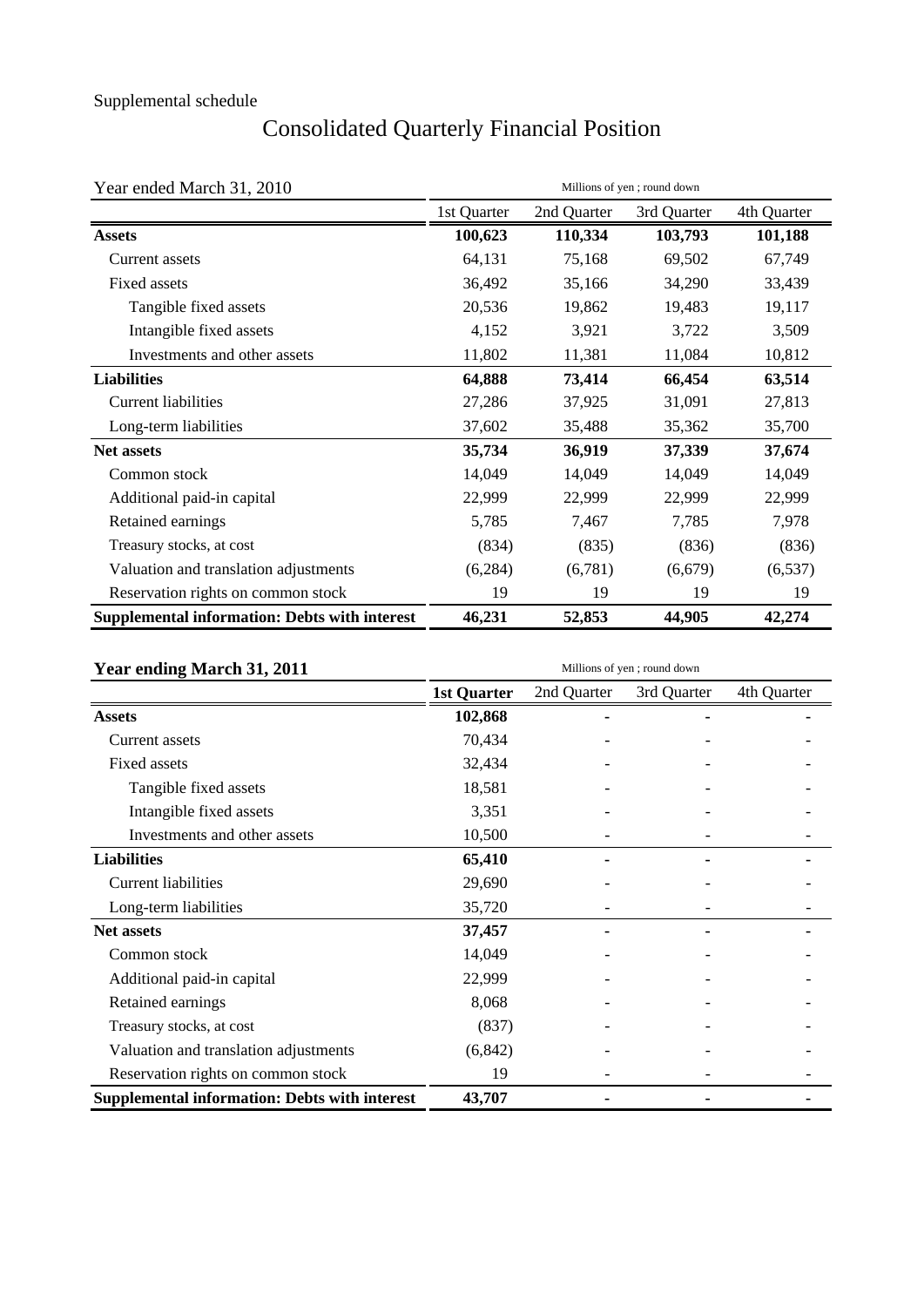# Consolidated Quarterly Financial Position

| Year ended March 31, 2010                                                                                                                                                                                                                                                                                                                                                                                                                                                                                                          | Millions of yen; round down |             |             |             |  |  |  |
|------------------------------------------------------------------------------------------------------------------------------------------------------------------------------------------------------------------------------------------------------------------------------------------------------------------------------------------------------------------------------------------------------------------------------------------------------------------------------------------------------------------------------------|-----------------------------|-------------|-------------|-------------|--|--|--|
|                                                                                                                                                                                                                                                                                                                                                                                                                                                                                                                                    | 1st Quarter                 | 2nd Quarter | 3rd Quarter | 4th Quarter |  |  |  |
| 100,623<br><b>Assets</b><br>64,131<br>Current assets<br>36,492<br>Fixed assets<br>20,536<br>Tangible fixed assets<br>4,152<br>Intangible fixed assets<br>Investments and other assets<br>11,802<br><b>Liabilities</b><br>64,888<br><b>Current liabilities</b><br>27,286<br>37,602<br>Long-term liabilities<br>35,734<br><b>Net assets</b><br>14,049<br>Common stock<br>22,999<br>Additional paid-in capital<br>5,785<br>Retained earnings<br>Treasury stocks, at cost<br>(834)<br>Valuation and translation adjustments<br>(6,284) | 110,334                     | 103,793     | 101,188     |             |  |  |  |
|                                                                                                                                                                                                                                                                                                                                                                                                                                                                                                                                    |                             | 75,168      | 69,502      | 67,749      |  |  |  |
|                                                                                                                                                                                                                                                                                                                                                                                                                                                                                                                                    |                             | 35,166      | 34,290      | 33,439      |  |  |  |
|                                                                                                                                                                                                                                                                                                                                                                                                                                                                                                                                    |                             | 19,862      | 19,483      | 19,117      |  |  |  |
|                                                                                                                                                                                                                                                                                                                                                                                                                                                                                                                                    |                             | 3,921       | 3,722       | 3,509       |  |  |  |
|                                                                                                                                                                                                                                                                                                                                                                                                                                                                                                                                    |                             | 11,381      | 11,084      | 10,812      |  |  |  |
|                                                                                                                                                                                                                                                                                                                                                                                                                                                                                                                                    |                             | 73,414      | 66,454      | 63,514      |  |  |  |
|                                                                                                                                                                                                                                                                                                                                                                                                                                                                                                                                    |                             | 37,925      | 31,091      | 27,813      |  |  |  |
|                                                                                                                                                                                                                                                                                                                                                                                                                                                                                                                                    |                             | 35,488      | 35,362      | 35,700      |  |  |  |
|                                                                                                                                                                                                                                                                                                                                                                                                                                                                                                                                    |                             | 36,919      | 37,339      | 37,674      |  |  |  |
|                                                                                                                                                                                                                                                                                                                                                                                                                                                                                                                                    |                             | 14,049      | 14,049      | 14,049      |  |  |  |
|                                                                                                                                                                                                                                                                                                                                                                                                                                                                                                                                    |                             | 22,999      | 22,999      | 22,999      |  |  |  |
|                                                                                                                                                                                                                                                                                                                                                                                                                                                                                                                                    |                             | 7,467       | 7,785       | 7,978       |  |  |  |
|                                                                                                                                                                                                                                                                                                                                                                                                                                                                                                                                    |                             | (835)       | (836)       | (836)       |  |  |  |
|                                                                                                                                                                                                                                                                                                                                                                                                                                                                                                                                    |                             | (6,781)     | (6,679)     | (6, 537)    |  |  |  |
| Reservation rights on common stock                                                                                                                                                                                                                                                                                                                                                                                                                                                                                                 | 19                          | 19          | 19          | 19          |  |  |  |
| <b>Supplemental information: Debts with interest</b>                                                                                                                                                                                                                                                                                                                                                                                                                                                                               | 46,231                      | 52,853      | 44,905      | 42,274      |  |  |  |

| Year ending March 31, 2011                           | Millions of yen; round down |             |             |             |  |  |
|------------------------------------------------------|-----------------------------|-------------|-------------|-------------|--|--|
|                                                      | 1st Quarter                 | 2nd Quarter | 3rd Quarter | 4th Quarter |  |  |
| <b>Assets</b>                                        | 102,868                     |             |             |             |  |  |
| Current assets                                       | 70,434                      |             |             |             |  |  |
| Fixed assets                                         | 32,434                      |             |             |             |  |  |
| Tangible fixed assets                                | 18,581                      |             |             |             |  |  |
| Intangible fixed assets                              | 3,351                       |             |             |             |  |  |
| Investments and other assets                         | 10,500                      |             |             |             |  |  |
| <b>Liabilities</b>                                   | 65,410                      |             |             |             |  |  |
| <b>Current liabilities</b>                           | 29,690                      |             |             |             |  |  |
| Long-term liabilities                                | 35,720                      |             |             |             |  |  |
| <b>Net assets</b>                                    | 37,457                      |             |             |             |  |  |
| Common stock                                         | 14,049                      |             |             |             |  |  |
| Additional paid-in capital                           | 22,999                      |             |             |             |  |  |
| Retained earnings                                    | 8,068                       |             |             |             |  |  |
| Treasury stocks, at cost                             | (837)                       |             |             |             |  |  |
| Valuation and translation adjustments                | (6, 842)                    |             |             |             |  |  |
| Reservation rights on common stock                   | 19                          |             |             |             |  |  |
| <b>Supplemental information: Debts with interest</b> | 43,707                      |             |             |             |  |  |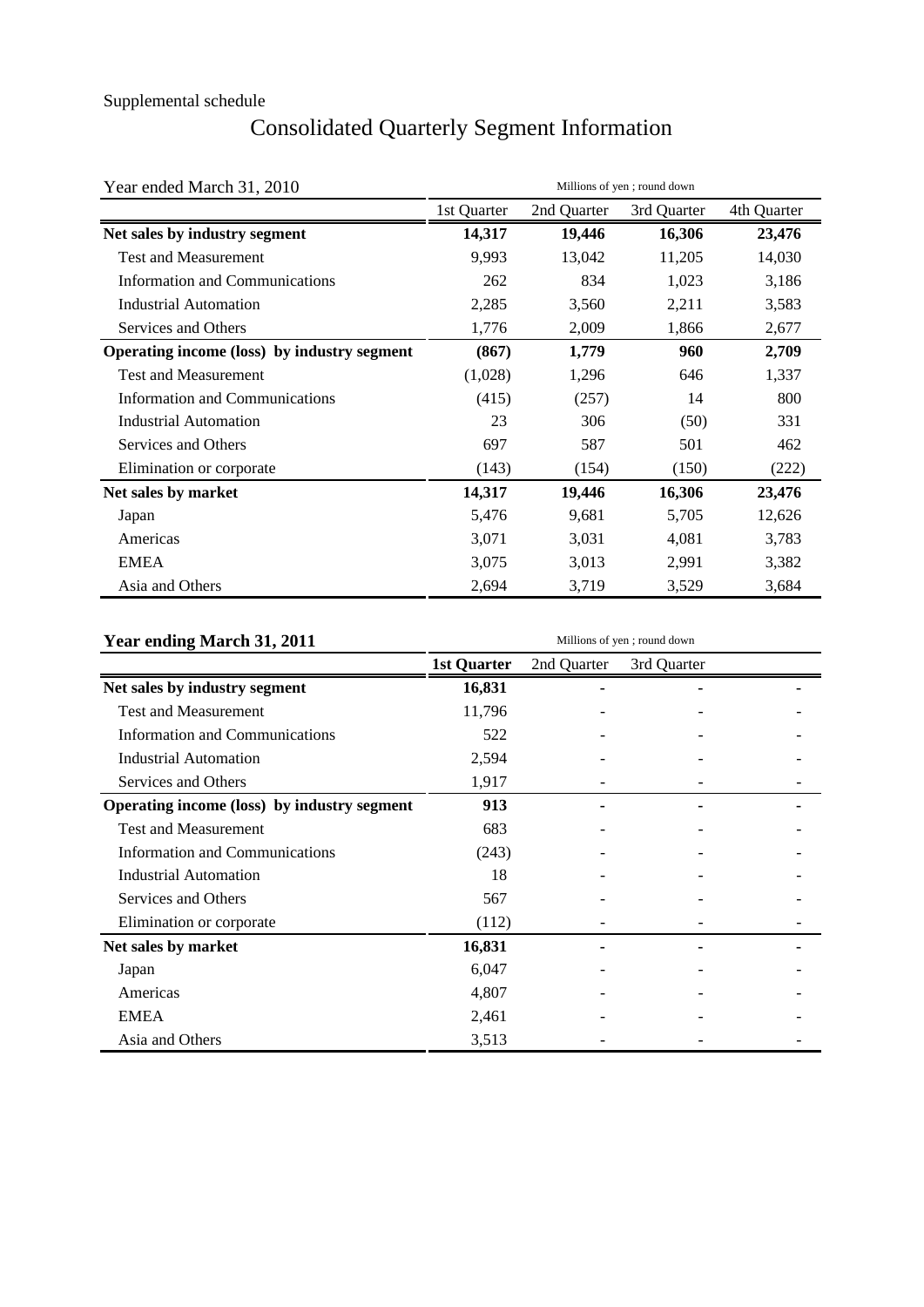# Consolidated Quarterly Segment Information

| Year ended March 31, 2010                   | Millions of yen; round down                                                                                                                                                                                                                                                                                                                                                                                            |             |       |        |  |
|---------------------------------------------|------------------------------------------------------------------------------------------------------------------------------------------------------------------------------------------------------------------------------------------------------------------------------------------------------------------------------------------------------------------------------------------------------------------------|-------------|-------|--------|--|
|                                             | 1st Quarter<br>2nd Quarter<br>3rd Quarter<br>14,317<br>19,446<br>16,306<br>13,042<br>9,993<br>11,205<br>1,023<br>262<br>834<br>2,285<br>3,560<br>2,211<br>2,009<br>1,776<br>1,866<br>(867)<br>1,779<br>960<br>(1,028)<br>1,296<br>646<br>(257)<br>(415)<br>14<br>23<br>306<br>(50)<br>697<br>587<br>501<br>(143)<br>(154)<br>(150)<br>14,317<br>16,306<br>19,446<br>9,681<br>5,705<br>5,476<br>3,031<br>3,071<br>4,081 | 4th Quarter |       |        |  |
| Net sales by industry segment               |                                                                                                                                                                                                                                                                                                                                                                                                                        |             |       | 23,476 |  |
| <b>Test and Measurement</b>                 |                                                                                                                                                                                                                                                                                                                                                                                                                        |             |       | 14,030 |  |
| <b>Information and Communications</b>       |                                                                                                                                                                                                                                                                                                                                                                                                                        |             |       | 3,186  |  |
| <b>Industrial Automation</b>                |                                                                                                                                                                                                                                                                                                                                                                                                                        |             |       | 3,583  |  |
| Services and Others                         |                                                                                                                                                                                                                                                                                                                                                                                                                        |             |       | 2,677  |  |
| Operating income (loss) by industry segment |                                                                                                                                                                                                                                                                                                                                                                                                                        |             |       | 2,709  |  |
| <b>Test and Measurement</b>                 |                                                                                                                                                                                                                                                                                                                                                                                                                        |             |       | 1,337  |  |
| <b>Information and Communications</b>       |                                                                                                                                                                                                                                                                                                                                                                                                                        |             |       | 800    |  |
| <b>Industrial Automation</b>                |                                                                                                                                                                                                                                                                                                                                                                                                                        |             |       | 331    |  |
| Services and Others                         |                                                                                                                                                                                                                                                                                                                                                                                                                        |             |       | 462    |  |
| Elimination or corporate                    |                                                                                                                                                                                                                                                                                                                                                                                                                        |             |       | (222)  |  |
| Net sales by market                         |                                                                                                                                                                                                                                                                                                                                                                                                                        |             |       | 23,476 |  |
| Japan                                       |                                                                                                                                                                                                                                                                                                                                                                                                                        |             |       | 12,626 |  |
| Americas                                    |                                                                                                                                                                                                                                                                                                                                                                                                                        |             |       | 3,783  |  |
| <b>EMEA</b>                                 | 3,075                                                                                                                                                                                                                                                                                                                                                                                                                  | 3,013       | 2,991 | 3,382  |  |
| Asia and Others                             | 2,694                                                                                                                                                                                                                                                                                                                                                                                                                  | 3,719       | 3,529 | 3,684  |  |

| Year ending March 31, 2011                  |                    | Millions of yen; round down<br>2nd Quarter<br>3rd Quarter |  |  |  |
|---------------------------------------------|--------------------|-----------------------------------------------------------|--|--|--|
|                                             | <b>1st Quarter</b> |                                                           |  |  |  |
| Net sales by industry segment               | 16,831             |                                                           |  |  |  |
| <b>Test and Measurement</b>                 | 11,796             |                                                           |  |  |  |
| <b>Information and Communications</b>       | 522                |                                                           |  |  |  |
| <b>Industrial Automation</b>                | 2,594              |                                                           |  |  |  |
| Services and Others                         | 1,917              |                                                           |  |  |  |
| Operating income (loss) by industry segment | 913                |                                                           |  |  |  |
| <b>Test and Measurement</b>                 | 683                |                                                           |  |  |  |
| Information and Communications              | (243)              |                                                           |  |  |  |
| <b>Industrial Automation</b>                | 18                 |                                                           |  |  |  |
| Services and Others                         | 567                |                                                           |  |  |  |
| Elimination or corporate                    | (112)              |                                                           |  |  |  |
| Net sales by market                         | 16,831             |                                                           |  |  |  |
| Japan                                       | 6,047              |                                                           |  |  |  |
| Americas                                    | 4,807              |                                                           |  |  |  |
| <b>EMEA</b>                                 | 2,461              |                                                           |  |  |  |
| Asia and Others                             | 3,513              |                                                           |  |  |  |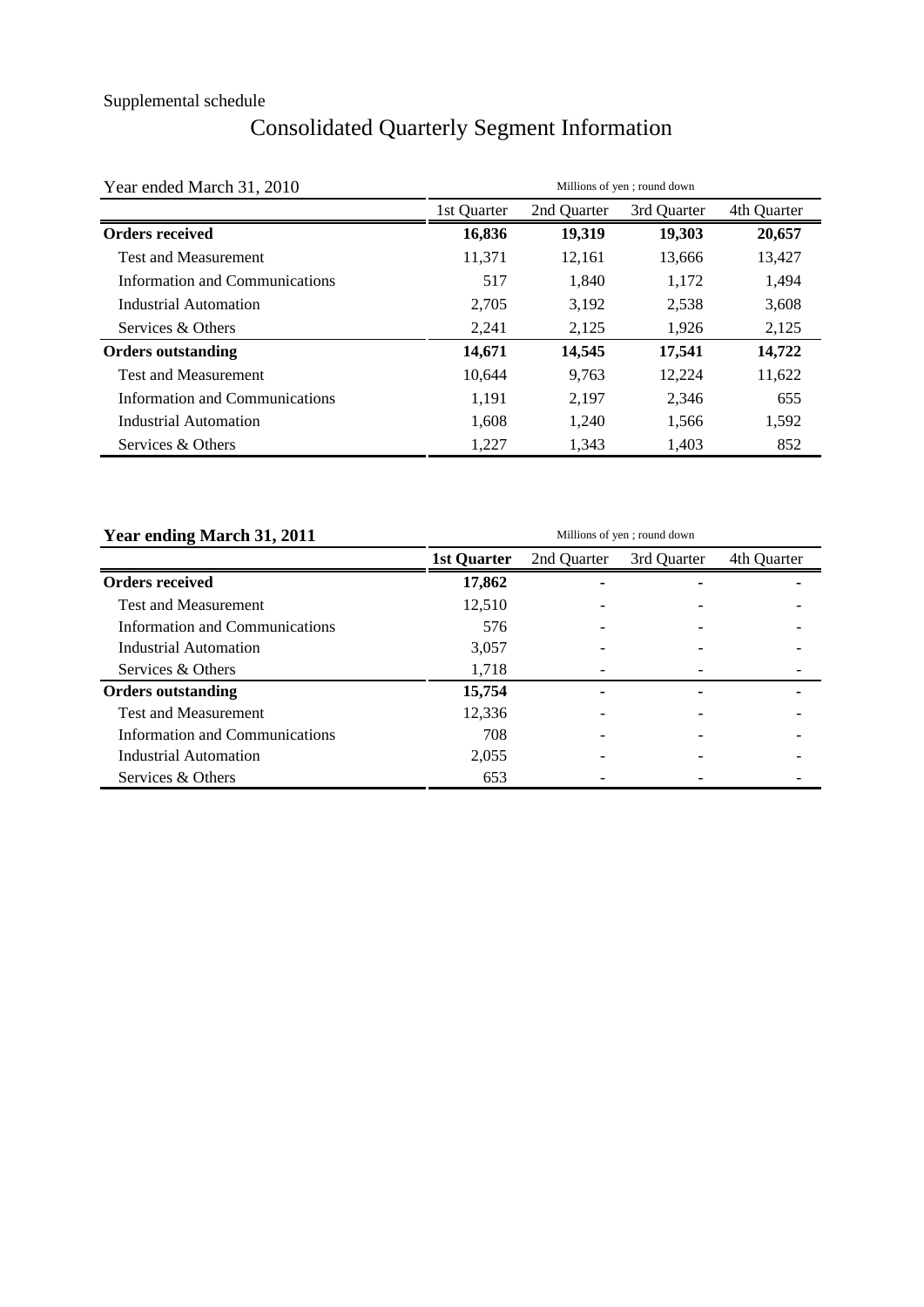# Consolidated Quarterly Segment Information

| Year ended March 31, 2010      |             |             | Millions of yen; round down |             |
|--------------------------------|-------------|-------------|-----------------------------|-------------|
|                                | 1st Quarter | 2nd Quarter | 3rd Quarter                 | 4th Quarter |
| <b>Orders received</b>         | 16,836      | 19,319      | 19,303                      | 20,657      |
| <b>Test and Measurement</b>    | 11,371      | 12,161      | 13,666                      | 13,427      |
| Information and Communications | 517         | 1,840       | 1,172                       | 1,494       |
| Industrial Automation          | 2,705       | 3,192       | 2,538                       | 3,608       |
| Services & Others              | 2,241       | 2,125       | 1,926                       | 2,125       |
| <b>Orders outstanding</b>      | 14,671      | 14,545      | 17,541                      | 14,722      |
| <b>Test and Measurement</b>    | 10.644      | 9.763       | 12,224                      | 11,622      |
| Information and Communications | 1,191       | 2,197       | 2,346                       | 655         |
| Industrial Automation          | 1,608       | 1.240       | 1,566                       | 1,592       |
| Services & Others              | 1,227       | 1,343       | 1,403                       | 852         |

| Year ending March 31, 2011     | Millions of yen; round down |             |             |             |  |  |  |
|--------------------------------|-----------------------------|-------------|-------------|-------------|--|--|--|
|                                | 1st Quarter                 | 2nd Quarter | 3rd Quarter | 4th Quarter |  |  |  |
| <b>Orders received</b>         | 17,862                      |             |             |             |  |  |  |
| <b>Test and Measurement</b>    | 12,510                      |             |             |             |  |  |  |
| Information and Communications | 576                         |             |             |             |  |  |  |
| Industrial Automation          | 3,057                       |             |             |             |  |  |  |
| Services & Others              | 1,718                       |             |             |             |  |  |  |
| <b>Orders outstanding</b>      | 15,754                      |             |             |             |  |  |  |
| <b>Test and Measurement</b>    | 12.336                      |             |             |             |  |  |  |
| Information and Communications | 708                         |             |             |             |  |  |  |
| Industrial Automation          | 2,055                       |             |             |             |  |  |  |
| Services & Others              | 653                         |             |             |             |  |  |  |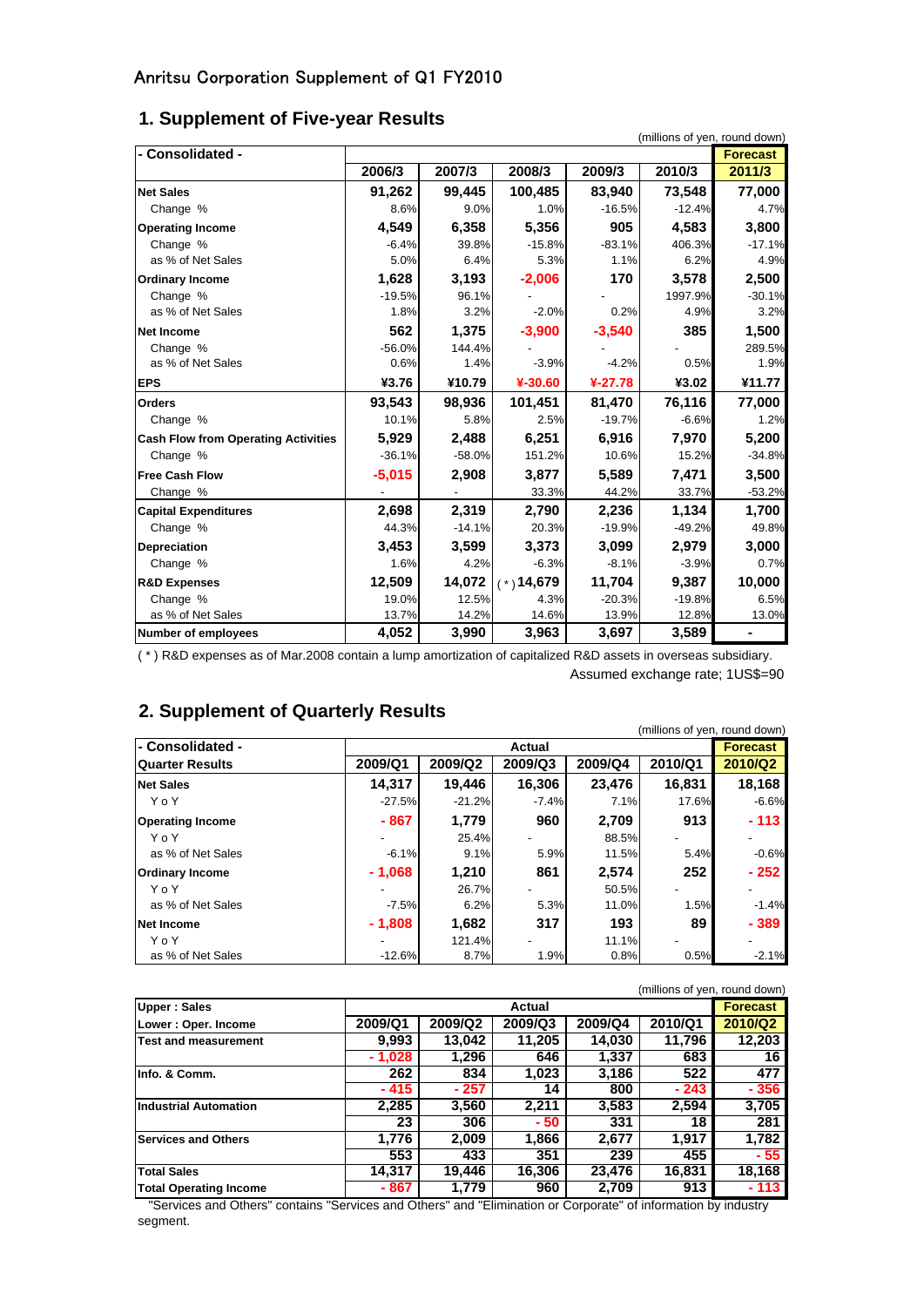## **1. Supplement of Five-year Results**

| - Consolidated -                           |          |               |                  |                  | (millions of yen, round down) | <b>Forecast</b> |
|--------------------------------------------|----------|---------------|------------------|------------------|-------------------------------|-----------------|
|                                            | 2006/3   | 2007/3        | 2008/3           | 2009/3           | 2010/3                        | 2011/3          |
| <b>Net Sales</b>                           | 91,262   | 99,445        | 100,485          | 83,940           | 73,548                        | 77,000          |
| Change %                                   | 8.6%     | 9.0%          | 1.0%             | $-16.5%$         | $-12.4%$                      | 4.7%            |
| <b>Operating Income</b>                    | 4.549    | 6,358         | 5.356            | 905              | 4,583                         | 3,800           |
|                                            | $-6.4%$  |               |                  |                  |                               | $-17.1%$        |
| Change %<br>as % of Net Sales              | 5.0%     | 39.8%<br>6.4% | $-15.8%$<br>5.3% | $-83.1%$<br>1.1% | 406.3%<br>6.2%                | 4.9%            |
|                                            |          |               |                  |                  |                               |                 |
| <b>Ordinary Income</b>                     | 1,628    | 3,193         | $-2,006$         | 170              | 3,578                         | 2,500           |
| Change %                                   | $-19.5%$ | 96.1%         |                  |                  | 1997.9%                       | $-30.1%$        |
| as % of Net Sales                          | 1.8%     | 3.2%          | $-2.0%$          | 0.2%             | 4.9%                          | 3.2%            |
| <b>Net Income</b>                          | 562      | 1,375         | $-3,900$         | $-3,540$         | 385                           | 1,500           |
| Change %                                   | $-56.0%$ | 144.4%        |                  |                  |                               | 289.5%          |
| as % of Net Sales                          | 0.6%     | 1.4%          | $-3.9%$          | $-4.2%$          | 0.5%                          | 1.9%            |
| <b>EPS</b>                                 | ¥3.76    | ¥10.79        | $4-30.60$        | $4-27.78$        | ¥3.02                         | ¥11.77          |
| <b>Orders</b>                              | 93,543   | 98,936        | 101,451          | 81,470           | 76,116                        | 77,000          |
| Change %                                   | 10.1%    | 5.8%          | 2.5%             | $-19.7%$         | $-6.6%$                       | 1.2%            |
| <b>Cash Flow from Operating Activities</b> | 5,929    | 2,488         | 6,251            | 6,916            | 7,970                         | 5,200           |
| Change %                                   | $-36.1%$ | $-58.0%$      | 151.2%           | 10.6%            | 15.2%                         | $-34.8%$        |
| <b>Free Cash Flow</b>                      | $-5,015$ | 2,908         | 3,877            | 5,589            | 7,471                         | 3,500           |
| Change %                                   |          |               | 33.3%            | 44.2%            | 33.7%                         | $-53.2%$        |
| <b>Capital Expenditures</b>                | 2,698    | 2,319         | 2,790            | 2,236            | 1,134                         | 1,700           |
| Change %                                   | 44.3%    | $-14.1%$      | 20.3%            | $-19.9%$         | $-49.2%$                      | 49.8%           |
| <b>Depreciation</b>                        | 3,453    | 3,599         | 3,373            | 3,099            | 2,979                         | 3,000           |
| Change %                                   | 1.6%     | 4.2%          | $-6.3%$          | $-8.1%$          | $-3.9%$                       | 0.7%            |
| <b>R&amp;D Expenses</b>                    | 12,509   | 14,072        | $(*)14,679$      | 11,704           | 9,387                         | 10,000          |
| Change %                                   | 19.0%    | 12.5%         | 4.3%             | $-20.3%$         | $-19.8%$                      | 6.5%            |
| as % of Net Sales                          | 13.7%    | 14.2%         | 14.6%            | 13.9%            | 12.8%                         | 13.0%           |
| <b>Number of employees</b>                 | 4,052    | 3,990         | 3,963            | 3,697            | 3,589                         |                 |

( \* ) R&D expenses as of Mar.2008 contain a lump amortization of capitalized R&D assets in overseas subsidiary. Assumed exchange rate; 1US\$=90

## **2. Supplement of Quarterly Results**

|                         |                          |          |               |         | (millions of yen, round down) |                 |
|-------------------------|--------------------------|----------|---------------|---------|-------------------------------|-----------------|
| l- Consolidated -       |                          |          | <b>Actual</b> |         |                               | <b>Forecast</b> |
| <b>Quarter Results</b>  | 2009/Q1                  | 2009/Q2  | 2009/Q3       | 2009/Q4 | 2010/Q1                       | 2010/Q2         |
| <b>Net Sales</b>        | 14.317                   | 19.446   | 16,306        | 23,476  | 16,831                        | 18,168          |
| YoY                     | $-27.5%$                 | $-21.2%$ | $-7.4%$       | 7.1%    | 17.6%                         | $-6.6%$         |
| <b>Operating Income</b> | $-867$                   | 1.779    | 960           | 2.709   | 913                           | $-113$          |
| YoY                     | $\overline{\phantom{a}}$ | 25.4%    |               | 88.5%   | $\overline{\phantom{0}}$      |                 |
| as % of Net Sales       | $-6.1%$                  | 9.1%     | 5.9%          | 11.5%   | 5.4%                          | $-0.6%$         |
| <b>Ordinary Income</b>  | $-1.068$                 | 1.210    | 861           | 2,574   | 252                           | $-252$          |
| YoY                     | ٠                        | 26.7%    |               | 50.5%   |                               |                 |
| as % of Net Sales       | $-7.5%$                  | 6.2%     | 5.3%          | 11.0%   | 1.5%                          | $-1.4%$         |
| Net Income              | $-1.808$                 | 1.682    | 317           | 193     | 89                            | $-389$          |
| YoY                     | -                        | 121.4%   |               | 11.1%   |                               |                 |
| as % of Net Sales       | $-12.6%$                 | 8.7%     | 1.9%          | 0.8%    | 0.5%                          | $-2.1%$         |

|                               |          |         |         |         | (millions of yen, round down) |                 |
|-------------------------------|----------|---------|---------|---------|-------------------------------|-----------------|
| <b>Upper: Sales</b>           |          |         | Actual  |         |                               | <b>Forecast</b> |
| Lower: Oper. Income           | 2009/Q1  | 2009/Q2 | 2009/Q3 | 2009/Q4 | 2010/Q1                       | 2010/Q2         |
| Test and measurement          | 9,993    | 13,042  | 11,205  | 14,030  | 11.796                        | 12,203          |
|                               | $-1.028$ | 1.296   | 646     | 1,337   | 683                           | 16              |
| Info. & Comm.                 | 262      | 834     | 1,023   | 3,186   | 522                           | 477             |
|                               | - 415    | $-257$  | 14      | 800     | $-243$                        | - 356           |
| <b>Industrial Automation</b>  | 2,285    | 3,560   | 2.211   | 3,583   | 2,594                         | 3,705           |
|                               | 23       | 306     | - 50    | 331     | 18                            | 281             |
| <b>Services and Others</b>    | 1.776    | 2.009   | 1.866   | 2.677   | 1.917                         | 1.782           |
|                               | 553      | 433     | 351     | 239     | 455                           | - 55            |
| <b>Total Sales</b>            | 14,317   | 19.446  | 16,306  | 23,476  | 16,831                        | 18,168          |
| <b>Total Operating Income</b> | - 867    | 1.779   | 960     | 2,709   | 913                           | $-113$          |

 "Services and Others" contains "Services and Others" and "Elimination or Corporate" of information by industry segment.